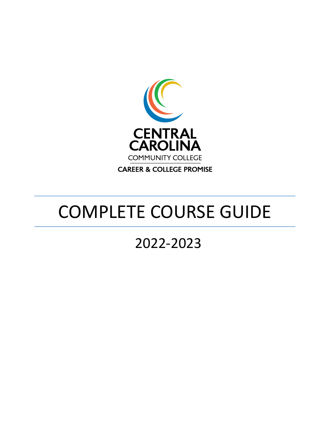

# COMPLETE COURSE GUIDE

## 2022-2023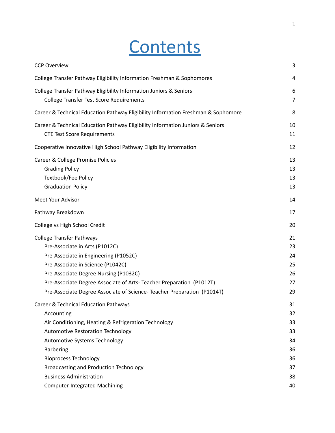# **Contents**

| 3                                                        |
|----------------------------------------------------------|
| 4                                                        |
| 6<br>$\overline{7}$                                      |
| 8                                                        |
| 10<br>11                                                 |
| 12                                                       |
| 13<br>13<br>13<br>13                                     |
| 14                                                       |
| 17                                                       |
| 20                                                       |
| 21<br>23<br>24<br>25<br>26<br>27<br>29                   |
| 31<br>32<br>33<br>33<br>34<br>36<br>36<br>37<br>38<br>40 |
|                                                          |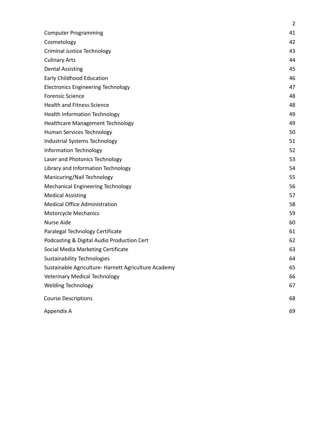|                                                      | $\overline{2}$ |
|------------------------------------------------------|----------------|
| <b>Computer Programming</b>                          | 41             |
| Cosmetology                                          | 42             |
| <b>Criminal Justice Technology</b>                   | 43             |
| <b>Culinary Arts</b>                                 | 44             |
| <b>Dental Assisting</b>                              | 45             |
| Early Childhood Education                            | 46             |
| <b>Electronics Engineering Technology</b>            | 47             |
| <b>Forensic Science</b>                              | 48             |
| <b>Health and Fitness Science</b>                    | 48             |
| <b>Health Information Technology</b>                 | 49             |
| <b>Healthcare Management Technology</b>              | 49             |
| Human Services Technology                            | 50             |
| Industrial Systems Technology                        | 51             |
| Information Technology                               | 52             |
| Laser and Photonics Technology                       | 53             |
| Library and Information Technology                   | 54             |
| Manicuring/Nail Technology                           | 55             |
| <b>Mechanical Engineering Technology</b>             | 56             |
| <b>Medical Assisting</b>                             | 57             |
| <b>Medical Office Administration</b>                 | 58             |
| Motorcycle Mechanics                                 | 59             |
| <b>Nurse Aide</b>                                    | 60             |
| Paralegal Technology Certificate                     | 61             |
| Podcasting & Digital Audio Production Cert           | 62             |
| Social Media Marketing Certificate                   | 63             |
| <b>Sustainability Technologies</b>                   | 64             |
| Sustainable Agriculture- Harnett Agriculture Academy | 65             |
| <b>Veterinary Medical Technology</b>                 | 66             |
| <b>Welding Technology</b>                            | 67             |
| <b>Course Descriptions</b>                           | 68             |
| Appendix A                                           | 69             |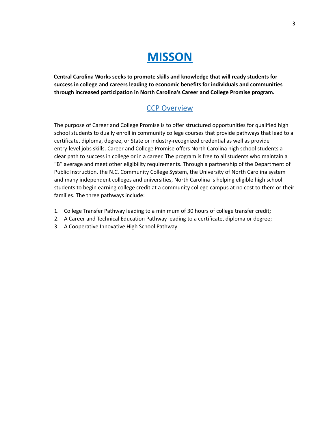

<span id="page-3-0"></span>**Central Carolina Works seeks to promote skills and knowledge that will ready students for success in college and careers leading to economic benefits for individuals and communities through increased participation in North Carolina's Career and College Promise program.**

#### CCP Overview

The purpose of Career and College Promise is to offer structured opportunities for qualified high school students to dually enroll in community college courses that provide pathways that lead to a certificate, diploma, degree, or State or industry-recognized credential as well as provide entry-level jobs skills. Career and College Promise offers North Carolina high school students a clear path to success in college or in a career. The program is free to all students who maintain a "B" average and meet other eligibility requirements. Through a partnership of the Department of Public Instruction, the N.C. Community College System, the University of North Carolina system and many independent colleges and universities, North Carolina is helping eligible high school students to begin earning college credit at a community college campus at no cost to them or their families. The three pathways include:

- 1. College Transfer Pathway leading to a minimum of 30 hours of college transfer credit;
- 2. A Career and Technical Education Pathway leading to a certificate, diploma or degree;
- 3. A Cooperative Innovative High School Pathway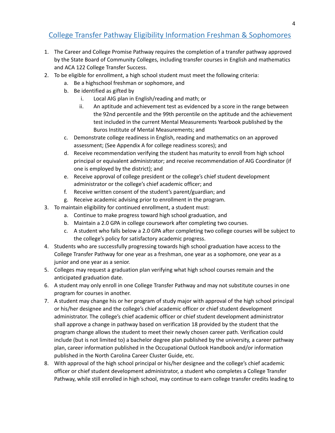#### <span id="page-4-0"></span>College Transfer Pathway Eligibility Information Freshman & Sophomores

- 1. The Career and College Promise Pathway requires the completion of a transfer pathway approved by the State Board of Community Colleges, including transfer courses in English and mathematics and ACA 122 College Transfer Success.
- 2. To be eligible for enrollment, a high school student must meet the following criteria:
	- a. Be a highschool freshman or sophomore, and
	- b. Be identified as gifted by
		- i. Local AIG plan in English/reading and math; or
		- ii. An aptitude and achievement test as evidenced by a score in the range between the 92nd percentile and the 99th percentile on the aptitude and the achievement test included in the current Mental Measurements Yearbook published by the Buros Institute of Mental Measurements; and
	- c. Demonstrate college readiness in English, reading and mathematics on an approved assessment; (See Appendix A for college readiness scores); and
	- d. Receive recommendation verifying the student has maturity to enroll from high school principal or equivalent administrator; and receive recommendation of AIG Coordinator (if one is employed by the district); and
	- e. Receive approval of college president or the college's chief student development administrator or the college's chief academic officer; and
	- f. Receive written consent of the student's parent/guardian; and
	- g. Receive academic advising prior to enrollment in the program.
- 3. To maintain eligibility for continued enrollment, a student must:
	- a. Continue to make progress toward high school graduation, and
	- b. Maintain a 2.0 GPA in college coursework after completing two courses.
	- c. A student who falls below a 2.0 GPA after completing two college courses will be subject to the college's policy for satisfactory academic progress.
- 4. Students who are successfully progressing towards high school graduation have access to the College Transfer Pathway for one year as a freshman, one year as a sophomore, one year as a junior and one year as a senior.
- 5. Colleges may request a graduation plan verifying what high school courses remain and the anticipated graduation date.
- 6. A student may only enroll in one College Transfer Pathway and may not substitute courses in one program for courses in another.
- 7. A student may change his or her program of study major with approval of the high school principal or his/her designee and the college's chief academic officer or chief student development administrator. The college's chief academic officer or chief student development administrator shall approve a change in pathway based on verification 18 provided by the student that the program change allows the student to meet their newly chosen career path. Verification could include (but is not limited to) a bachelor degree plan published by the university, a career pathway plan, career information published in the Occupational Outlook Handbook and/or information published in the North Carolina Career Cluster Guide, etc.
- 8. With approval of the high school principal or his/her designee and the college's chief academic officer or chief student development administrator, a student who completes a College Transfer Pathway, while still enrolled in high school, may continue to earn college transfer credits leading to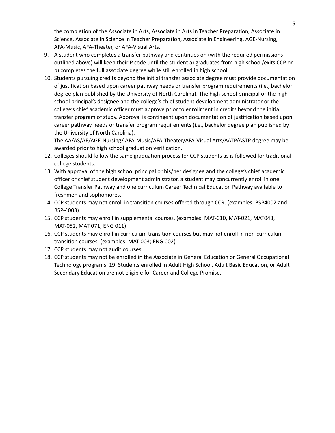the completion of the Associate in Arts, Associate in Arts in Teacher Preparation, Associate in Science, Associate in Science in Teacher Preparation, Associate in Engineering, AGE-Nursing, AFA-Music, AFA-Theater, or AFA-Visual Arts.

- 9. A student who completes a transfer pathway and continues on (with the required permissions outlined above) will keep their P code until the student a) graduates from high school/exits CCP or b) completes the full associate degree while still enrolled in high school.
- 10. Students pursuing credits beyond the initial transfer associate degree must provide documentation of justification based upon career pathway needs or transfer program requirements (i.e., bachelor degree plan published by the University of North Carolina). The high school principal or the high school principal's designee and the college's chief student development administrator or the college's chief academic officer must approve prior to enrollment in credits beyond the initial transfer program of study. Approval is contingent upon documentation of justification based upon career pathway needs or transfer program requirements (i.e., bachelor degree plan published by the University of North Carolina).
- 11. The AA/AS/AE/AGE-Nursing/ AFA-Music/AFA-Theater/AFA-Visual Arts/AATP/ASTP degree may be awarded prior to high school graduation verification.
- 12. Colleges should follow the same graduation process for CCP students as is followed for traditional college students.
- 13. With approval of the high school principal or his/her designee and the college's chief academic officer or chief student development administrator, a student may concurrently enroll in one College Transfer Pathway and one curriculum Career Technical Education Pathway available to freshmen and sophomores.
- 14. CCP students may not enroll in transition courses offered through CCR. (examples: BSP4002 and BSP-4003)
- 15. CCP students may enroll in supplemental courses. (examples: MAT-010, MAT-021, MAT043, MAT-052, MAT 071; ENG 011)
- 16. CCP students may enroll in curriculum transition courses but may not enroll in non-curriculum transition courses. (examples: MAT 003; ENG 002)
- 17. CCP students may not audit courses.
- 18. CCP students may not be enrolled in the Associate in General Education or General Occupational Technology programs. 19. Students enrolled in Adult High School, Adult Basic Education, or Adult Secondary Education are not eligible for Career and College Promise.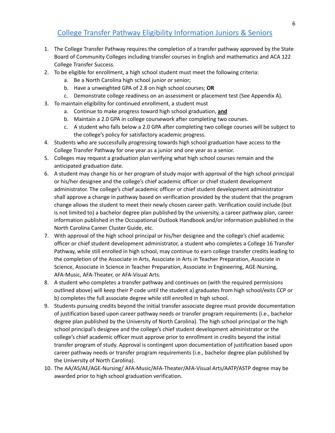#### College Transfer Pathway Eligibility Information Juniors & Seniors

- <span id="page-6-0"></span>1. The College Transfer Pathway requires the completion of a transfer pathway approved by the State Board of Community Colleges including transfer courses in English and mathematics and ACA 122 College Transfer Success.
- 2. To be eligible for enrollment, a high school student must meet the following criteria:
	- a. Be a North Carolina high school junior or senior;
	- b. Have a unweighted GPA of 2.8 on high school courses; **OR**
	- c. Demonstrate college readiness on an assessment or placement test (See Appendix A).
- 3. To maintain eligibility for continued enrollment, a student must
	- a. Continue to make progress toward high school graduation, **and**
	- b. Maintain a 2.0 GPA in college coursework after completing two courses.
	- c. A student who falls below a 2.0 GPA after completing two college courses will be subject to the college's policy for satisfactory academic progress.
- 4. Students who are successfully progressing towards high school graduation have access to the College Transfer Pathway for one year as a junior and one year as a senior.
- 5. Colleges may request a graduation plan verifying what high school courses remain and the anticipated graduation date.
- 6. A student may change his or her program of study major with approval of the high school principal or his/her designee and the college's chief academic officer or chief student development administrator. The college's chief academic officer or chief student development administrator shall approve a change in pathway based on verification provided by the student that the program change allows the student to meet their newly chosen career path. Verification could include (but is not limited to) a bachelor degree plan published by the university, a career pathway plan, career information published in the Occupational Outlook Handbook and/or information published in the North Carolina Career Cluster Guide, etc.
- 7. With approval of the high school principal or his/her designee and the college's chief academic officer or chief student development administrator, a student who completes a College 16 Transfer Pathway, while still enrolled in high school, may continue to earn college transfer credits leading to the completion of the Associate in Arts, Associate in Arts in Teacher Preparation, Associate in Science, Associate in Science in Teacher Preparation, Associate in Engineering, AGE-Nursing, AFA-Music, AFA-Theater, or AFA-Visual Arts.
- 8. A student who completes a transfer pathway and continues on (with the required permissions outlined above) will keep their P code until the student a) graduates from high school/exits CCP or b) completes the full associate degree while still enrolled in high school.
- 9. Students pursuing credits beyond the initial transfer associate degree must provide documentation of justification based upon career pathway needs or transfer program requirements (i.e., bachelor degree plan published by the University of North Carolina). The high school principal or the high school principal's designee and the college's chief student development administrator or the college's chief academic officer must approve prior to enrollment in credits beyond the initial transfer program of study. Approval is contingent upon documentation of justification based upon career pathway needs or transfer program requirements (i.e., bachelor degree plan published by the University of North Carolina).
- 10. The AA/AS/AE/AGE-Nursing/ AFA-Music/AFA-Theater/AFA-Visual Arts/AATP/ASTP degree may be awarded prior to high school graduation verification.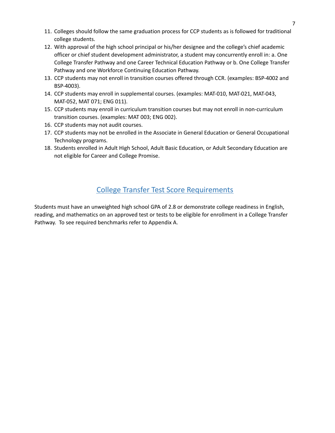- 11. Colleges should follow the same graduation process for CCP students as is followed for traditional college students.
- 12. With approval of the high school principal or his/her designee and the college's chief academic officer or chief student development administrator, a student may concurrently enroll in: a. One College Transfer Pathway and one Career Technical Education Pathway or b. One College Transfer Pathway and one Workforce Continuing Education Pathway.
- 13. CCP students may not enroll in transition courses offered through CCR. (examples: BSP-4002 and BSP-4003).
- 14. CCP students may enroll in supplemental courses. (examples: MAT-010, MAT-021, MAT-043, MAT-052, MAT 071; ENG 011).
- 15. CCP students may enroll in curriculum transition courses but may not enroll in non-curriculum transition courses. (examples: MAT 003; ENG 002).
- 16. CCP students may not audit courses.
- 17. CCP students may not be enrolled in the Associate in General Education or General Occupational Technology programs.
- 18. Students enrolled in Adult High School, Adult Basic Education, or Adult Secondary Education are not eligible for Career and College Promise.

#### College Transfer Test Score Requirements

<span id="page-7-0"></span>Students must have an unweighted high school GPA of 2.8 or demonstrate college readiness in English, reading, and mathematics on an approved test or tests to be eligible for enrollment in a College Transfer Pathway. To see required benchmarks refer to Appendix A.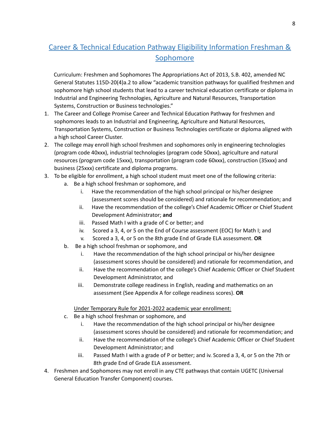### <span id="page-8-0"></span>Career & Technical Education Pathway Eligibility Information Freshman & Sophomore

Curriculum: Freshmen and Sophomores The Appropriations Act of 2013, S.B. 402, amended NC General Statutes 115D-20(4)a.2 to allow "academic transition pathways for qualified freshmen and sophomore high school students that lead to a career technical education certificate or diploma in Industrial and Engineering Technologies, Agriculture and Natural Resources, Transportation Systems, Construction or Business technologies."

- 1. The Career and College Promise Career and Technical Education Pathway for freshmen and sophomores leads to an Industrial and Engineering, Agriculture and Natural Resources, Transportation Systems, Construction or Business Technologies certificate or diploma aligned with a high school Career Cluster.
- 2. The college may enroll high school freshmen and sophomores only in engineering technologies (program code 40xxx), industrial technologies (program code 50xxx), agriculture and natural resources (program code 15xxx), transportation (program code 60xxx), construction (35xxx) and business (25xxx) certificate and diploma programs.
- 3. To be eligible for enrollment, a high school student must meet one of the following criteria:
	- a. Be a high school freshman or sophomore, and
		- i. Have the recommendation of the high school principal or his/her designee (assessment scores should be considered) and rationale for recommendation; and
		- ii. Have the recommendation of the college's Chief Academic Officer or Chief Student Development Administrator; **and**
		- iii. Passed Math I with a grade of C or better; and
		- iv. Scored a 3, 4, or 5 on the End of Course assessment (EOC) for Math I; and
		- v. Scored a 3, 4, or 5 on the 8th grade End of Grade ELA assessment. **OR**
	- b. Be a high school freshman or sophomore, and
		- i. Have the recommendation of the high school principal or his/her designee (assessment scores should be considered) and rationale for recommendation, and
		- ii. Have the recommendation of the college's Chief Academic Officer or Chief Student Development Administrator, and
		- iii. Demonstrate college readiness in English, reading and mathematics on an assessment (See Appendix A for college readiness scores). **OR**

Under Temporary Rule for 2021-2022 academic year enrollment:

- c. Be a high school freshman or sophomore, and
	- i. Have the recommendation of the high school principal or his/her designee (assessment scores should be considered) and rationale for recommendation; and
	- ii. Have the recommendation of the college's Chief Academic Officer or Chief Student Development Administrator; and
	- iii. Passed Math I with a grade of P or better; and iv. Scored a 3, 4, or 5 on the 7th or 8th grade End of Grade ELA assessment.
- 4. Freshmen and Sophomores may not enroll in any CTE pathways that contain UGETC (Universal General Education Transfer Component) courses.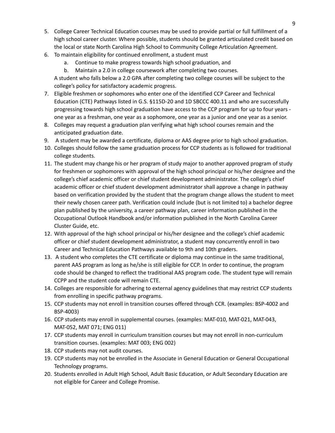- 5. College Career Technical Education courses may be used to provide partial or full fulfillment of a high school career cluster. Where possible, students should be granted articulated credit based on the local or state North Carolina High School to Community College Articulation Agreement.
- 6. To maintain eligibility for continued enrollment, a student must
	- a. Continue to make progress towards high school graduation, and
	- b. Maintain a 2.0 in college coursework after completing two courses.

A student who falls below a 2.0 GPA after completing two college courses will be subject to the college's policy for satisfactory academic progress.

- 7. Eligible freshmen or sophomores who enter one of the identified CCP Career and Technical Education (CTE) Pathways listed in G.S. §115D-20 and 1D SBCCC 400.11 and who are successfully progressing towards high school graduation have access to the CCP program for up to four years one year as a freshman, one year as a sophomore, one year as a junior and one year as a senior.
- 8. Colleges may request a graduation plan verifying what high school courses remain and the anticipated graduation date.
- 9. A student may be awarded a certificate, diploma or AAS degree prior to high school graduation.
- 10. Colleges should follow the same graduation process for CCP students as is followed for traditional college students.
- 11. The student may change his or her program of study major to another approved program of study for freshmen or sophomores with approval of the high school principal or his/her designee and the college's chief academic officer or chief student development administrator. The college's chief academic officer or chief student development administrator shall approve a change in pathway based on verification provided by the student that the program change allows the student to meet their newly chosen career path. Verification could include (but is not limited to) a bachelor degree plan published by the university, a career pathway plan, career information published in the Occupational Outlook Handbook and/or information published in the North Carolina Career Cluster Guide, etc.
- 12. With approval of the high school principal or his/her designee and the college's chief academic officer or chief student development administrator, a student may concurrently enroll in two Career and Technical Education Pathways available to 9th and 10th graders.
- 13. A student who completes the CTE certificate or diploma may continue in the same traditional, parent AAS program as long as he/she is still eligible for CCP. In order to continue, the program code should be changed to reflect the traditional AAS program code. The student type will remain CCPP and the student code will remain CTE.
- 14. Colleges are responsible for adhering to external agency guidelines that may restrict CCP students from enrolling in specific pathway programs.
- 15. CCP students may not enroll in transition courses offered through CCR. (examples: BSP-4002 and BSP-4003)
- 16. CCP students may enroll in supplemental courses. (examples: MAT-010, MAT-021, MAT-043, MAT-052, MAT 071; ENG 011)
- 17. CCP students may enroll in curriculum transition courses but may not enroll in non-curriculum transition courses. (examples: MAT 003; ENG 002)
- 18. CCP students may not audit courses.
- 19. CCP students may not be enrolled in the Associate in General Education or General Occupational Technology programs.
- 20. Students enrolled in Adult High School, Adult Basic Education, or Adult Secondary Education are not eligible for Career and College Promise.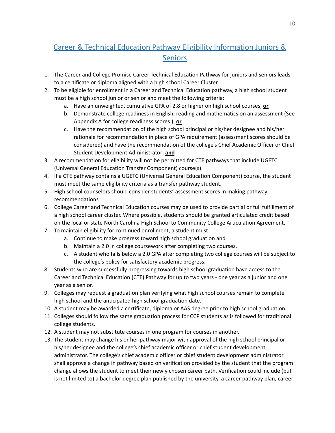### <span id="page-10-0"></span>Career & Technical Education Pathway Eligibility Information Juniors & Seniors

- 1. The Career and College Promise Career Technical Education Pathway for juniors and seniors leads to a certificate or diploma aligned with a high school Career Cluster.
- 2. To be eligible for enrollment in a Career and Technical Education pathway, a high school student must be a high school junior or senior and meet the following criteria:
	- a. Have an unweighted, cumulative GPA of 2.8 or higher on high school courses, **or**
	- b. Demonstrate college readiness in English, reading and mathematics on an assessment (See Appendix A for college readiness scores.), **or**
	- c. Have the recommendation of the high school principal or his/her designee and his/her rationale for recommendation in place of GPA requirement (assessment scores should be considered) and have the recommendation of the college's Chief Academic Officer or Chief Student Development Administrator; **and**
- 3. A recommendation for eligibility will not be permitted for CTE pathways that include UGETC (Universal General Education Transfer Component) course(s).
- 4. If a CTE pathway contains a UGETC (Universal General Education Component) course, the student must meet the same eligibility criteria as a transfer pathway student.
- 5. High school counselors should consider students' assessment scores in making pathway recommendations
- 6. College Career and Technical Education courses may be used to provide partial or full fulfillment of a high school career cluster. Where possible, students should be granted articulated credit based on the local or state North Carolina High School to Community College Articulation Agreement.
- 7. To maintain eligibility for continued enrollment, a student must
	- a. Continue to make progress toward high school graduation and
	- b. Maintain a 2.0 in college coursework after completing two courses.
	- c. A student who falls below a 2.0 GPA after completing two college courses will be subject to the college's policy for satisfactory academic progress.
- 8. Students who are successfully progressing towards high school graduation have access to the Career and Technical Education (CTE) Pathway for up to two years - one year as a junior and one year as a senior.
- 9. Colleges may request a graduation plan verifying what high school courses remain to complete high school and the anticipated high school graduation date.
- 10. A student may be awarded a certificate, diploma or AAS degree prior to high school graduation.
- 11. Colleges should follow the same graduation process for CCP students as is followed for traditional college students.
- 12. A student may not substitute courses in one program for courses in another.
- 13. The student may change his or her pathway major with approval of the high school principal or his/her designee and the college's chief academic officer or chief student development administrator. The college's chief academic officer or chief student development administrator shall approve a change in pathway based on verification provided by the student that the program change allows the student to meet their newly chosen career path. Verification could include (but is not limited to) a bachelor degree plan published by the university, a career pathway plan, career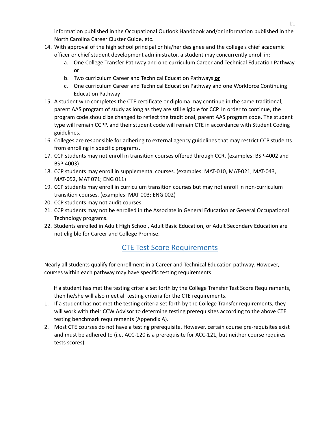information published in the Occupational Outlook Handbook and/or information published in the North Carolina Career Cluster Guide, etc.

- 14. With approval of the high school principal or his/her designee and the college's chief academic officer or chief student development administrator, a student may concurrently enroll in:
	- a. One College Transfer Pathway and one curriculum Career and Technical Education Pathway **or**
	- b. Two curriculum Career and Technical Education Pathways **or**
	- c. One curriculum Career and Technical Education Pathway and one Workforce Continuing Education Pathway
- 15. A student who completes the CTE certificate or diploma may continue in the same traditional, parent AAS program of study as long as they are still eligible for CCP. In order to continue, the program code should be changed to reflect the traditional, parent AAS program code. The student type will remain CCPP, and their student code will remain CTE in accordance with Student Coding guidelines.
- 16. Colleges are responsible for adhering to external agency guidelines that may restrict CCP students from enrolling in specific programs.
- 17. CCP students may not enroll in transition courses offered through CCR. (examples: BSP-4002 and BSP-4003)
- 18. CCP students may enroll in supplemental courses. (examples: MAT-010, MAT-021, MAT-043, MAT-052, MAT 071; ENG 011)
- 19. CCP students may enroll in curriculum transition courses but may not enroll in non-curriculum transition courses. (examples: MAT 003; ENG 002)
- 20. CCP students may not audit courses.
- 21. CCP students may not be enrolled in the Associate in General Education or General Occupational Technology programs.
- 22. Students enrolled in Adult High School, Adult Basic Education, or Adult Secondary Education are not eligible for Career and College Promise.

#### CTE Test Score Requirements

<span id="page-11-0"></span>Nearly all students qualify for enrollment in a Career and Technical Education pathway. However, courses within each pathway may have specific testing requirements.

If a student has met the testing criteria set forth by the College Transfer Test Score Requirements, then he/she will also meet all testing criteria for the CTE requirements.

- 1. If a student has not met the testing criteria set forth by the College Transfer requirements, they will work with their CCW Advisor to determine testing prerequisites according to the above CTE testing benchmark requirements (Appendix A).
- 2. Most CTE courses do not have a testing prerequisite. However, certain course pre-requisites exist and must be adhered to (i.e. ACC-120 is a prerequisite for ACC-121, but neither course requires tests scores).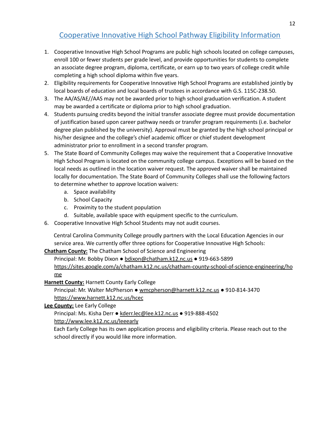#### Cooperative Innovative High School Pathway Eligibility Information

- <span id="page-12-0"></span>1. Cooperative Innovative High School Programs are public high schools located on college campuses, enroll 100 or fewer students per grade level, and provide opportunities for students to complete an associate degree program, diploma, certificate, or earn up to two years of college credit while completing a high school diploma within five years.
- 2. Eligibility requirements for Cooperative Innovative High School Programs are established jointly by local boards of education and local boards of trustees in accordance with G.S. 115C-238.50.
- 3. The AA/AS/AE//AAS may not be awarded prior to high school graduation verification. A student may be awarded a certificate or diploma prior to high school graduation.
- 4. Students pursuing credits beyond the initial transfer associate degree must provide documentation of justification based upon career pathway needs or transfer program requirements (i.e. bachelor degree plan published by the university). Approval must be granted by the high school principal or his/her designee and the college's chief academic officer or chief student development administrator prior to enrollment in a second transfer program.
- 5. The State Board of Community Colleges may waive the requirement that a Cooperative Innovative High School Program is located on the community college campus. Exceptions will be based on the local needs as outlined in the location waiver request. The approved waiver shall be maintained locally for documentation. The State Board of Community Colleges shall use the following factors to determine whether to approve location waivers:
	- a. Space availability
	- b. School Capacity
	- c. Proximity to the student population
	- d. Suitable, available space with equipment specific to the curriculum.
- 6. Cooperative Innovative High School Students may not audit courses.

Central Carolina Community College proudly partners with the Local Education Agencies in our service area. We currently offer three options for Cooperative Innovative High Schools:

#### **Chatham County:** The Chatham School of Science and Engineering

Principal: Mr. Bobby Dixon ● [bdixon@chatham.k12.nc.us](mailto:bdixon@chatham.k12.nc.us) ● 919-663-5899 [https://sites.google.com/a/chatham.k12.nc.us/chatham-county-school-of-science-engineering/ho](https://sites.google.com/a/chatham.k12.nc.us/chatham-county-school-of-science-engineering/home) [me](https://sites.google.com/a/chatham.k12.nc.us/chatham-county-school-of-science-engineering/home)

#### **Harnett County:** Harnett County Early College

Principal: Mr. Walter McPherson ● [wmcpherson@harnett.k12.nc.us](mailto:wmcpherson@harnett.k12.nc.us) ● 910-814-3470 <https://www.harnett.k12.nc.us/hcec>

#### **Lee County:** Lee Early College

Principal: Ms. Kisha Derr ● [kderr.lec@lee.k12.nc.us](mailto:kderr.lec@lee.k12.nc.us) ● 919-888-4502

<http://www.lee.k12.nc.us/leeearly>

Each Early College has its own application process and eligibility criteria. Please reach out to the school directly if you would like more information.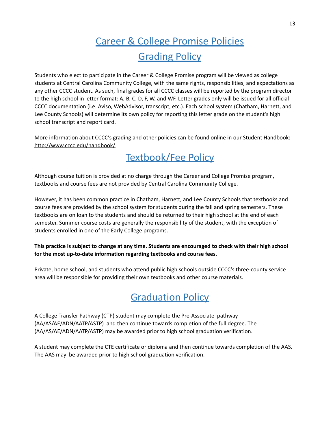### Career & College Promise Policies **Grading Policy**

<span id="page-13-1"></span><span id="page-13-0"></span>Students who elect to participate in the Career & College Promise program will be viewed as college students at Central Carolina Community College, with the same rights, responsibilities, and expectations as any other CCCC student. As such, final grades for all CCCC classes will be reported by the program director to the high school in letter format: A, B, C, D, F, W, and WF. Letter grades only will be issued for all official CCCC documentation (i.e. Aviso, WebAdvisor, transcript, etc.). Each school system (Chatham, Harnett, and Lee County Schools) will determine its own policy for reporting this letter grade on the student's high school transcript and report card.

<span id="page-13-2"></span>More information about CCCC's grading and other policies can be found online in our Student Handbook: <http://www.cccc.edu/handbook/>

### Textbook/Fee Policy

Although course tuition is provided at no charge through the Career and College Promise program, textbooks and course fees are not provided by Central Carolina Community College.

However, it has been common practice in Chatham, Harnett, and Lee County Schools that textbooks and course fees are provided by the school system for students during the fall and spring semesters. These textbooks are on loan to the students and should be returned to their high school at the end of each semester. Summer course costs are generally the responsibility of the student, with the exception of students enrolled in one of the Early College programs.

#### This practice is subject to change at any time. Students are encouraged to check with their high school **for the most up-to-date information regarding textbooks and course fees.**

<span id="page-13-3"></span>Private, home school, and students who attend public high schools outside CCCC's three-county service area will be responsible for providing their own textbooks and other course materials.

### **Graduation Policy**

A College Transfer Pathway (CTP) student may complete the Pre-Associate pathway (AA/AS/AE/ADN/AATP/ASTP) and then continue towards completion of the full degree. The (AA/AS/AE/ADN/AATP/ASTP) may be awarded prior to high school graduation verification.

A student may complete the CTE certificate or diploma and then continue towards completion of the AAS. The AAS may be awarded prior to high school graduation verification.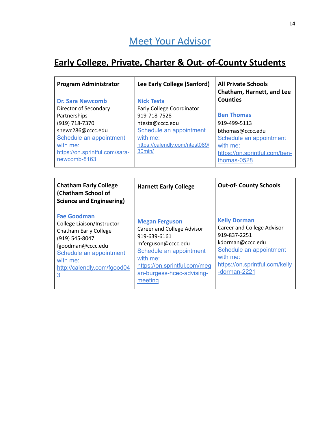### <span id="page-14-0"></span>**Early College, Private, Charter & Out- of-County Students**

| <b>Program Administrator</b><br>Dr. Sara Newcomb<br>Director of Secondary<br>Partnerships<br>(919) 718-7370<br>snewc286@cccc.edu<br>Schedule an appointment<br>with me:<br>https://on.sprintful.com/sara-<br>newcomb-8163 | Lee Early College (Sanford)<br><b>Nick Testa</b><br>Early College Coordinator<br>919-718-7528<br>ntesta@cccc.edu<br>Schedule an appointment<br>with me:<br>https://calendly.com/ntest089/<br>30min/ | <b>All Private Schools</b><br>Chatham, Harnett, and Lee<br><b>Counties</b><br><b>Ben Thomas</b><br>919-499-5113<br>bthomas@cccc.edu<br>Schedule an appointment<br>with me:<br>https://on.sprintful.com/ben-<br>thomas-0528 |
|---------------------------------------------------------------------------------------------------------------------------------------------------------------------------------------------------------------------------|-----------------------------------------------------------------------------------------------------------------------------------------------------------------------------------------------------|----------------------------------------------------------------------------------------------------------------------------------------------------------------------------------------------------------------------------|
| <b>Chatham Early College</b><br>(Chatham School of<br>Science and Engineering)<br>Foo Coordination                                                                                                                        | <b>Harnett Early College</b>                                                                                                                                                                        | <b>Out-of- County Schools</b>                                                                                                                                                                                              |

| <b>Fae Goodman</b><br>College Liaison/Instructor<br><b>Chatham Early College</b><br>(919) 545-8047<br>fgoodman@cccc.edu<br>Schedule an appointment<br>with me:<br>http://calendly.com/fgood04<br><u>3</u> | <b>Megan Ferguson</b><br>Career and College Advisor<br>919-639-6161<br>mferguson@cccc.edu<br>Schedule an appointment<br>with me:<br>https://on.sprintful.com/meg<br>an-burgess-hcec-advising-<br>meeting | <b>Kelly Dorman</b><br>Career and College Advisor<br>919-837-2251<br>kdorman@cccc.edu<br>Schedule an appointment<br>with me:<br>https://on.sprintful.com/kelly<br>-dorman-2221 |
|-----------------------------------------------------------------------------------------------------------------------------------------------------------------------------------------------------------|----------------------------------------------------------------------------------------------------------------------------------------------------------------------------------------------------------|--------------------------------------------------------------------------------------------------------------------------------------------------------------------------------|
|-----------------------------------------------------------------------------------------------------------------------------------------------------------------------------------------------------------|----------------------------------------------------------------------------------------------------------------------------------------------------------------------------------------------------------|--------------------------------------------------------------------------------------------------------------------------------------------------------------------------------|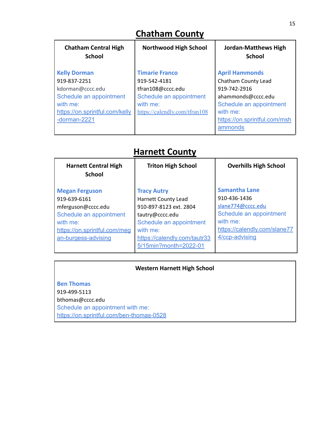### **Chatham County**

| <b>Chatham Central High</b><br><b>School</b> | <b>Northwood High School</b>  | <b>Jordan-Matthews High</b><br><b>School</b> |
|----------------------------------------------|-------------------------------|----------------------------------------------|
| <b>Kelly Dorman</b>                          | <b>Timarie Franco</b>         | <b>April Hammonds</b>                        |
| 919-837-2251                                 | 919-542-4181                  | Chatham County Lead                          |
| kdorman@cccc.edu                             | tfran108@cccc.edu             | 919-742-2916                                 |
| Schedule an appointment                      | Schedule an appointment       | ahammonds@cccc.edu                           |
| with me:                                     | with me:                      | Schedule an appointment                      |
| https://on.sprintful.com/kelly               | https://calendly.com/tfran108 | with me:                                     |
| -dorman-2221                                 |                               | https://on.sprintful.com/msh                 |
|                                              |                               | ammonds                                      |

### **Harnett County**

| <b>Triton High School</b>                             | <b>Overhills High School</b> |
|-------------------------------------------------------|------------------------------|
| <b>Tracy Autry</b>                                    | <b>Samantha Lane</b>         |
| <b>Harnett County Lead</b>                            | 910-436-1436                 |
| 910-897-8123 ext. 2804                                | slane774@cccc.edu            |
| tautry@cccc.edu                                       | Schedule an appointment      |
| Schedule an appointment                               | with me:                     |
| with me:                                              | https://calendly.com/slane77 |
| https://calendly.com/tautr33<br>5/15min?month=2022-01 | 4/ccp-advising               |
|                                                       |                              |

#### **Western Harnett High School**

**Ben Thomas** 919-499-5113 [bthomas@cccc.edu](mailto:bthomas@cccc.edu) Schedule an appointment with me: <https://on.sprintful.com/ben-thomas-0528>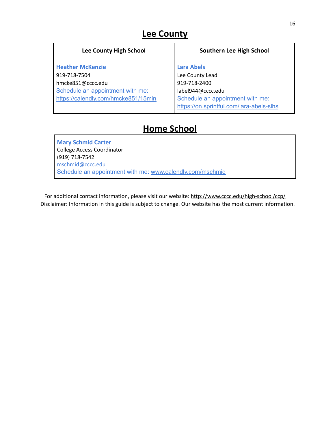### **Lee County**

| <b>Lee County High School</b>       | Southern Lee High School                 |
|-------------------------------------|------------------------------------------|
| <b>Heather McKenzie</b>             | <b>Lara Abels</b>                        |
| 919-718-7504                        | Lee County Lead                          |
| hmcke851@cccc.edu                   | 919-718-2400                             |
| Schedule an appointment with me:    | label944@cccc.edu                        |
| https://calendly.com/hmcke851/15min | Schedule an appointment with me:         |
|                                     | https://on.sprintful.com/lara-abels-slhs |

### **Home School**

**Mary Schmid Carter** College Access Coordinator (919) 718-7542 mschmid@cccc.edu Schedule an appointment with me: [www.calendly.com/mschmid](http://www.calendly.com/mschmid)

For additional contact information, please visit our website: <http://www.cccc.edu/high-school/ccp/> Disclaimer: Information in this guide is subject to change. Our website has the most current information.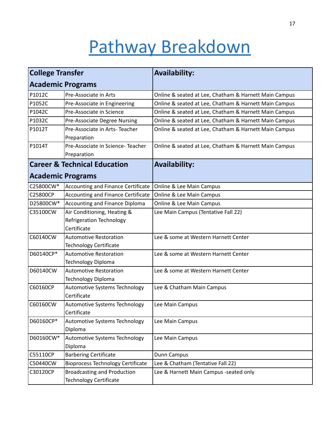# Pathway Breakdown

<span id="page-17-0"></span>

| <b>College Transfer</b> |                                                                     | <b>Availability:</b>                                  |  |  |
|-------------------------|---------------------------------------------------------------------|-------------------------------------------------------|--|--|
|                         | <b>Academic Programs</b>                                            |                                                       |  |  |
| P1012C                  | Pre-Associate in Arts                                               | Online & seated at Lee, Chatham & Harnett Main Campus |  |  |
| P1052C                  | Pre-Associate in Engineering                                        | Online & seated at Lee, Chatham & Harnett Main Campus |  |  |
| P1042C                  | Pre-Associate in Science                                            | Online & seated at Lee, Chatham & Harnett Main Campus |  |  |
| P1032C                  | Pre-Associate Degree Nursing                                        | Online & seated at Lee, Chatham & Harnett Main Campus |  |  |
| P1012T                  | Pre-Associate in Arts-Teacher<br>Preparation                        | Online & seated at Lee, Chatham & Harnett Main Campus |  |  |
| P1014T                  | Pre-Associate in Science-Teacher<br>Preparation                     | Online & seated at Lee, Chatham & Harnett Main Campus |  |  |
|                         | <b>Career &amp; Technical Education</b>                             | <b>Availability:</b>                                  |  |  |
|                         | <b>Academic Programs</b>                                            |                                                       |  |  |
| C25800CW*               | <b>Accounting and Finance Certificate</b>                           | Online & Lee Main Campus                              |  |  |
| C25800CP                | <b>Accounting and Finance Certificate</b>                           | Online & Lee Main Campus                              |  |  |
| D25800CW*               | <b>Accounting and Finance Diploma</b>                               | Online & Lee Main Campus                              |  |  |
| C35100CW                | Air Conditioning, Heating &                                         | Lee Main Campus (Tentative Fall 22)                   |  |  |
|                         | <b>Refrigeration Technology</b>                                     |                                                       |  |  |
|                         | Certificate                                                         |                                                       |  |  |
| C60140CW                | <b>Automotive Restoration</b>                                       | Lee & some at Western Harnett Center                  |  |  |
|                         | <b>Technology Certificate</b>                                       |                                                       |  |  |
| D60140CP*               | <b>Automotive Restoration</b>                                       | Lee & some at Western Harnett Center                  |  |  |
|                         | <b>Technology Diploma</b>                                           |                                                       |  |  |
| D60140CW                | <b>Automotive Restoration</b>                                       | Lee & some at Western Harnett Center                  |  |  |
|                         | <b>Technology Diploma</b>                                           |                                                       |  |  |
| C60160CP                | Automotive Systems Technology<br>Certificate                        | Lee & Chatham Main Campus                             |  |  |
| C60160CW                | Automotive Systems Technology                                       | Lee Main Campus                                       |  |  |
|                         | Certificate                                                         |                                                       |  |  |
| D60160CP*               | Automotive Systems Technology<br>Diploma                            | Lee Main Campus                                       |  |  |
| D60160CW*               | Automotive Systems Technology                                       | Lee Main Campus                                       |  |  |
|                         | Diploma                                                             |                                                       |  |  |
| C55110CP                | <b>Barbering Certificate</b>                                        | Dunn Campus                                           |  |  |
| C50440CW                | <b>Bioprocess Technology Certificate</b>                            | Lee & Chatham (Tentative Fall 22)                     |  |  |
| C30120CP                | <b>Broadcasting and Production</b><br><b>Technology Certificate</b> | Lee & Harnett Main Campus -seated only                |  |  |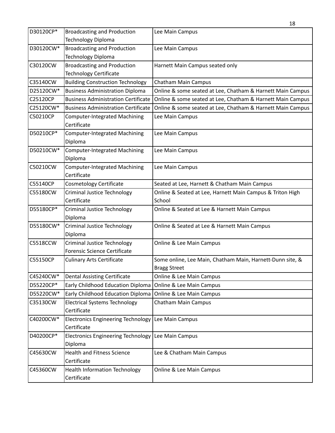|                 |                                                      | 18                                                         |
|-----------------|------------------------------------------------------|------------------------------------------------------------|
| D30120CP*       | <b>Broadcasting and Production</b>                   | Lee Main Campus                                            |
|                 | <b>Technology Diploma</b>                            |                                                            |
| D30120CW*       | <b>Broadcasting and Production</b>                   | Lee Main Campus                                            |
|                 | <b>Technology Diploma</b>                            |                                                            |
| C30120CW        | <b>Broadcasting and Production</b>                   | Harnett Main Campus seated only                            |
|                 | <b>Technology Certificate</b>                        |                                                            |
| C35140CW        | <b>Building Construction Technology</b>              | Chatham Main Campus                                        |
| D25120CW*       | <b>Business Administration Diploma</b>               | Online & some seated at Lee, Chatham & Harnett Main Campus |
| C25120CP        | <b>Business Administration Certificate</b>           | Online & some seated at Lee, Chatham & Harnett Main Campus |
| C25120CW*       | <b>Business Administration Certificate</b>           | Online & some seated at Lee, Chatham & Harnett Main Campus |
| C50210CP        | <b>Computer-Integrated Machining</b><br>Certificate  | Lee Main Campus                                            |
| D50210CP*       | <b>Computer-Integrated Machining</b>                 | Lee Main Campus                                            |
| D50210CW*       | Diploma<br><b>Computer-Integrated Machining</b>      |                                                            |
|                 | Diploma                                              | Lee Main Campus                                            |
| C50210CW        | <b>Computer-Integrated Machining</b><br>Certificate  | Lee Main Campus                                            |
| C55140CP        | <b>Cosmetology Certificate</b>                       | Seated at Lee, Harnett & Chatham Main Campus               |
| C55180CW        | <b>Criminal Justice Technology</b>                   | Online & Seated at Lee, Harnett Main Campus & Triton High  |
|                 | Certificate                                          | School                                                     |
| D55180CP*       | <b>Criminal Justice Technology</b>                   | Online & Seated at Lee & Harnett Main Campus               |
|                 | Diploma                                              |                                                            |
| D55180CW*       | <b>Criminal Justice Technology</b><br>Diploma        | Online & Seated at Lee & Harnett Main Campus               |
| <b>C5518CCW</b> | <b>Criminal Justice Technology</b>                   | Online & Lee Main Campus                                   |
|                 | <b>Forensic Science Certificate</b>                  |                                                            |
| C55150CP        | <b>Culinary Arts Certificate</b>                     | Some online, Lee Main, Chatham Main, Harnett-Dunn site, &  |
|                 |                                                      | <b>Bragg Street</b>                                        |
| C45240CW*       | <b>Dental Assisting Certificate</b>                  | Online & Lee Main Campus                                   |
| D55220CP*       | Early Childhood Education Diploma                    | Online & Lee Main Campus                                   |
| D55220CW*       | Early Childhood Education Diploma                    | Online & Lee Main Campus                                   |
| C35130CW        | <b>Electrical Systems Technology</b><br>Certificate  | Chatham Main Campus                                        |
| C40200CW*       | <b>Electronics Engineering Technology</b>            | Lee Main Campus                                            |
|                 | Certificate                                          |                                                            |
| D40200CP*       | <b>Electronics Engineering Technology</b><br>Diploma | Lee Main Campus                                            |
| C45630CW        | <b>Health and Fitness Science</b>                    | Lee & Chatham Main Campus                                  |
|                 | Certificate                                          |                                                            |
| C45360CW        | <b>Health Information Technology</b>                 | Online & Lee Main Campus                                   |
|                 | Certificate                                          |                                                            |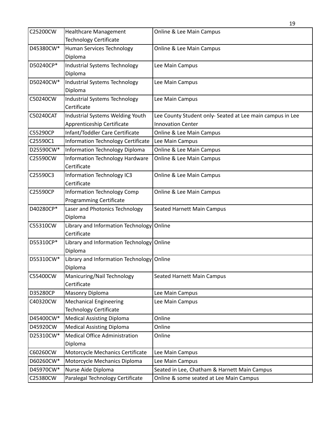| C25200CW  | <b>Healthcare Management</b>              | Online & Lee Main Campus                                  |
|-----------|-------------------------------------------|-----------------------------------------------------------|
|           | <b>Technology Certificate</b>             |                                                           |
| D45380CW* | Human Services Technology<br>Diploma      | Online & Lee Main Campus                                  |
| D50240CP* | <b>Industrial Systems Technology</b>      | Lee Main Campus                                           |
|           | Diploma                                   |                                                           |
| D50240CW* | Industrial Systems Technology             | Lee Main Campus                                           |
|           | Diploma                                   |                                                           |
| C50240CW  | Industrial Systems Technology             | Lee Main Campus                                           |
|           | Certificate                               |                                                           |
| C50240CAT | Industrial Systems Welding Youth          | Lee County Student only- Seated at Lee main campus in Lee |
|           | Apprenticeship Certificate                | <b>Innovation Center</b>                                  |
| C55290CP  | Infant/Toddler Care Certificate           | Online & Lee Main Campus                                  |
| C25590C1  | <b>Information Technology Certificate</b> | Lee Main Campus                                           |
| D25590CW* | Information Technology Diploma            | Online & Lee Main Campus                                  |
| C25590CW  | <b>Information Technology Hardware</b>    | Online & Lee Main Campus                                  |
|           | Certificate                               |                                                           |
| C25590C3  | Information Technology IC3                | Online & Lee Main Campus                                  |
|           | Certificate                               |                                                           |
| C25590CP  | Information Technology Comp               | Online & Lee Main Campus                                  |
|           | <b>Programming Certificate</b>            |                                                           |
| D40280CP* | Laser and Photonics Technology            | Seated Harnett Main Campus                                |
|           | Diploma                                   |                                                           |
| C55310CW  | Library and Information Technology Online |                                                           |
|           | Certificate                               |                                                           |
| D55310CP* | Library and Information Technology Online |                                                           |
|           | Diploma                                   |                                                           |
| D55310CW* | Library and Information Technology Online |                                                           |
|           | Diploma                                   |                                                           |
| C55400CW  | Manicuring/Nail Technology                | <b>Seated Harnett Main Campus</b>                         |
|           | Certificate                               |                                                           |
| D35280CP  | Masonry Diploma                           | Lee Main Campus                                           |
| C40320CW  | <b>Mechanical Engineering</b>             | Lee Main Campus                                           |
|           | <b>Technology Certificate</b>             |                                                           |
| D45400CW* | <b>Medical Assisting Diploma</b>          | Online                                                    |
| D45920CW  | <b>Medical Assisting Diploma</b>          | Online                                                    |
| D25310CW* | <b>Medical Office Administration</b>      | Online                                                    |
|           | Diploma                                   |                                                           |
| C60260CW  | Motorcycle Mechanics Certificate          | Lee Main Campus                                           |
| D60260CW* | Motorcycle Mechanics Diploma              | Lee Main Campus                                           |
| D45970CW* | Nurse Aide Diploma                        | Seated in Lee, Chatham & Harnett Main Campus              |
| C25380CW  | Paralegal Technology Certificate          | Online & some seated at Lee Main Campus                   |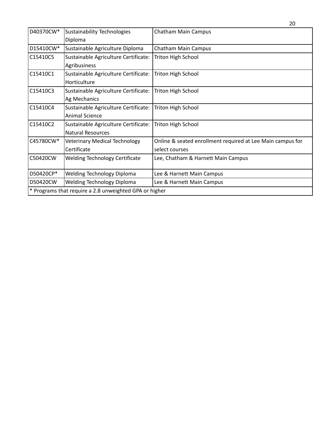|           |                                                        | 20                                                         |
|-----------|--------------------------------------------------------|------------------------------------------------------------|
| D40370CW* | Sustainability Technologies                            | Chatham Main Campus                                        |
|           | Diploma                                                |                                                            |
| D15410CW* | Sustainable Agriculture Diploma                        | <b>Chatham Main Campus</b>                                 |
| C15410C5  | Sustainable Agriculture Certificate:                   | Triton High School                                         |
|           | Agribusiness                                           |                                                            |
| C15410C1  | Sustainable Agriculture Certificate:                   | Triton High School                                         |
|           | Horticulture                                           |                                                            |
| C15410C3  | Sustainable Agriculture Certificate:                   | <b>Triton High School</b>                                  |
|           | Ag Mechanics                                           |                                                            |
| C15410C4  | Sustainable Agriculture Certificate:                   | <b>Triton High School</b>                                  |
|           | <b>Animal Science</b>                                  |                                                            |
| C15410C2  | Sustainable Agriculture Certificate:                   | Triton High School                                         |
|           | <b>Natural Resources</b>                               |                                                            |
| C45780CW* | <b>Veterinary Medical Technology</b>                   | Online & seated enrollment required at Lee Main campus for |
|           | Certificate                                            | select courses                                             |
| C50420CW  | <b>Welding Technology Certificate</b>                  | Lee, Chatham & Harnett Main Campus                         |
|           |                                                        |                                                            |
| D50420CP* | <b>Welding Technology Diploma</b>                      | Lee & Harnett Main Campus                                  |
| D50420CW  | <b>Welding Technology Diploma</b>                      | Lee & Harnett Main Campus                                  |
|           | * Programs that require a 2.8 unweighted GPA or higher |                                                            |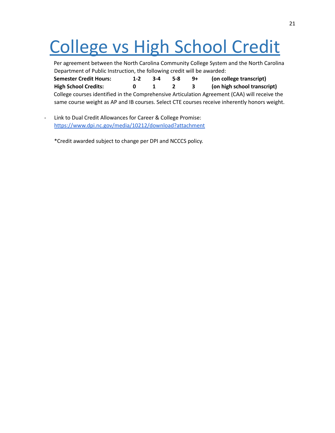# College vs High School Credit

|                                                                         |       |         |          |              | Per agreement between the North Carolina Community College System and the North Carolina      |
|-------------------------------------------------------------------------|-------|---------|----------|--------------|-----------------------------------------------------------------------------------------------|
| Department of Public Instruction, the following credit will be awarded: |       |         |          |              |                                                                                               |
| <b>Semester Credit Hours:</b>                                           | $1-2$ | $3 - 4$ | 5-8      | - 9+         | (on college transcript)                                                                       |
| <b>High School Credits:</b>                                             | 0     |         | $\sim$ 2 | $\mathbf{3}$ | (on high school transcript)                                                                   |
|                                                                         |       |         |          |              | College courses identified in the Comprehensive Articulation Agreement (CAA) will receive the |
|                                                                         |       |         |          |              | same course weight as AP and IB courses. Select CTE courses receive inherently honors weight. |

- Link to Dual Credit Allowances for Career & College Promise: <https://www.dpi.nc.gov/media/10212/download?attachment>

<span id="page-21-0"></span>\*Credit awarded subject to change per DPI and NCCCS policy.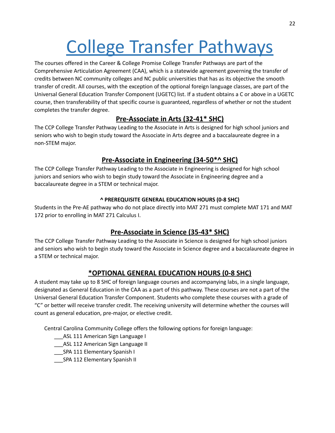# College Transfer Pathways

The courses offered in the Career & College Promise College Transfer Pathways are part of the Comprehensive Articulation Agreement (CAA), which is a statewide agreement governing the transfer of credits between NC community colleges and NC public universities that has as its objective the smooth transfer of credit. All courses, with the exception of the optional foreign language classes, are part of the Universal General Education Transfer Component (UGETC) list. If a student obtains a C or above in a UGETC course, then transferability of that specific course is guaranteed, regardless of whether or not the student completes the transfer degree.

#### **Pre-Associate in Arts (32-41\* SHC)**

The CCP College Transfer Pathway Leading to the Associate in Arts is designed for high school juniors and seniors who wish to begin study toward the Associate in Arts degree and a baccalaureate degree in a non-STEM major.

#### **Pre-Associate in Engineering (34-50\*^ SHC)**

The CCP College Transfer Pathway Leading to the Associate in Engineering is designed for high school juniors and seniors who wish to begin study toward the Associate in Engineering degree and a baccalaureate degree in a STEM or technical major.

#### **^ PREREQUISITE GENERAL EDUCATION HOURS (0-8 SHC)**

Students in the Pre-AE pathway who do not place directly into MAT 271 must complete MAT 171 and MAT 172 prior to enrolling in MAT 271 Calculus I.

#### **Pre-Associate in Science (35-43\* SHC)**

The CCP College Transfer Pathway Leading to the Associate in Science is designed for high school juniors and seniors who wish to begin study toward the Associate in Science degree and a baccalaureate degree in a STEM or technical major.

#### **\*OPTIONAL GENERAL EDUCATION HOURS (0-8 SHC)**

A student may take up to 8 SHC of foreign language courses and accompanying labs, in a single language, designated as General Education in the CAA as a part of this pathway. These courses are not a part of the Universal General Education Transfer Component. Students who complete these courses with a grade of "C" or better will receive transfer credit. The receiving university will determine whether the courses will count as general education, pre-major, or elective credit.

Central Carolina Community College offers the following options for foreign language:

- \_\_\_ASL 111 American Sign Language I
- \_\_\_ASL 112 American Sign Language II
- \_\_\_SPA 111 Elementary Spanish I
- \_\_\_SPA 112 Elementary Spanish II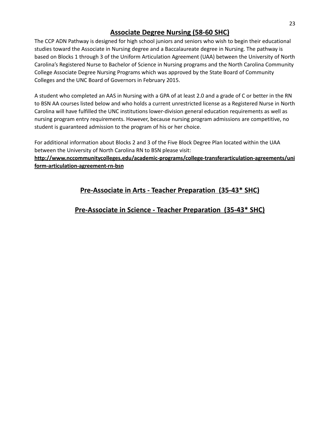#### **Associate Degree Nursing (58-60 SHC)**

The CCP ADN Pathway is designed for high school juniors and seniors who wish to begin their educational studies toward the Associate in Nursing degree and a Baccalaureate degree in Nursing. The pathway is based on Blocks 1 through 3 of the Uniform Articulation Agreement (UAA) between the University of North Carolina's Registered Nurse to Bachelor of Science in Nursing programs and the North Carolina Community College Associate Degree Nursing Programs which was approved by the State Board of Community Colleges and the UNC Board of Governors in February 2015.

A student who completed an AAS in Nursing with a GPA of at least 2.0 and a grade of C or better in the RN to BSN AA courses listed below and who holds a current unrestricted license as a Registered Nurse in North Carolina will have fulfilled the UNC institutions lower-division general education requirements as well as nursing program entry requirements. However, because nursing program admissions are competitive, no student is guaranteed admission to the program of his or her choice.

For additional information about Blocks 2 and 3 of the Five Block Degree Plan located within the UAA between the University of North Carolina RN to BSN please visit:

**http://www.nccommunitycolleges.edu/academic-programs/college-transferarticulation-agreements/uni form-articulation-agreement-rn-bsn**

#### **Pre-Associate in Arts - Teacher Preparation (35-43\* SHC)**

#### **Pre-Associate in Science - Teacher Preparation (35-43\* SHC)**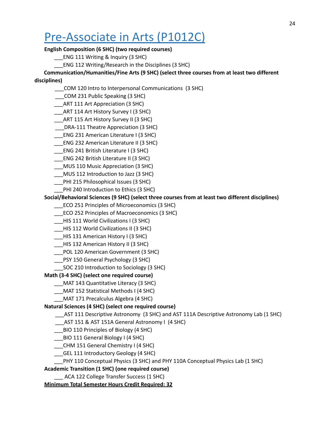### <span id="page-24-0"></span>Pre-Associate in Arts (P1012C)

#### **English Composition (6 SHC) (two required courses)**

\_\_\_ENG 111 Writing & Inquiry (3 SHC)

\_\_\_ENG 112 Writing/Research in the Disciplines (3 SHC)

**Communication/Humanities/Fine Arts (9 SHC) (select three courses from at least two different**

#### **disciplines)**

- \_\_\_COM 120 Intro to Interpersonal Communications (3 SHC)
- \_\_\_COM 231 Public Speaking (3 SHC)
- \_\_\_ART 111 Art Appreciation (3 SHC)
- \_\_\_ART 114 Art History Survey I (3 SHC)
- \_\_\_ART 115 Art History Survey II (3 SHC)
- \_\_\_DRA-111 Theatre Appreciation (3 SHC)
- \_\_\_ENG 231 American Literature I (3 SHC)
- \_\_\_ENG 232 American Literature II (3 SHC)
- \_\_\_ENG 241 British Literature I (3 SHC)
- \_\_\_ENG 242 British Literature II (3 SHC)
- \_\_\_MUS 110 Music Appreciation (3 SHC)
- \_\_\_MUS 112 Introduction to Jazz (3 SHC)
- \_\_\_PHI 215 Philosophical Issues (3 SHC)
- \_\_\_PHI 240 Introduction to Ethics (3 SHC)

#### **Social/Behavioral Sciences (9 SHC) (select three courses from at least two different disciplines)**

- \_\_\_ECO 251 Principles of Microeconomics (3 SHC)
- \_\_\_ECO 252 Principles of Macroeconomics (3 SHC)
- \_\_\_HIS 111 World Civilizations I (3 SHC)
- \_\_\_HIS 112 World Civilizations II (3 SHC)
- \_\_\_HIS 131 American History I (3 SHC)
- \_\_\_HIS 132 American History II (3 SHC)
- \_\_\_POL 120 American Government (3 SHC)
- \_\_\_PSY 150 General Psychology (3 SHC)
- SOC 210 Introduction to Sociology (3 SHC)

#### **Math (3-4 SHC) (select one required course)**

- \_\_\_MAT 143 Quantitative Literacy (3 SHC)
- \_\_\_MAT 152 Statistical Methods I (4 SHC)
- \_\_\_MAT 171 Precalculus Algebra (4 SHC)

#### **Natural Sciences (4 SHC) (select one required course)**

\_\_\_AST 111 Descriptive Astronomy (3 SHC) and AST 111A Descriptive Astronomy Lab (1 SHC)

- \_\_\_AST 151 & AST 151A General Astronomy I (4 SHC)
- \_\_\_BIO 110 Principles of Biology (4 SHC)
- \_\_\_BIO 111 General Biology I (4 SHC)
- \_\_\_CHM 151 General Chemistry I (4 SHC)
- \_\_\_GEL 111 Introductory Geology (4 SHC)
- \_\_\_PHY 110 Conceptual Physics (3 SHC) and PHY 110A Conceptual Physics Lab (1 SHC)

#### **Academic Transition (1 SHC) (one required course)**

\_\_\_ ACA 122 College Transfer Success (1 SHC)

#### **Minimum Total Semester Hours Credit Required: 32**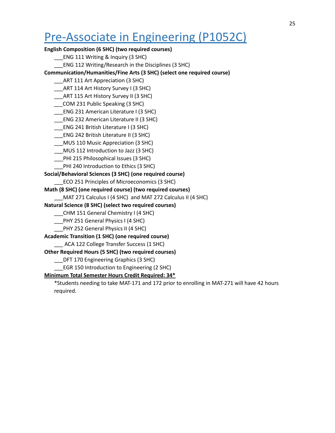### <span id="page-25-0"></span>Pre-Associate in Engineering (P1052C)

**English Composition (6 SHC) (two required courses)**

\_\_\_ENG 111 Writing & Inquiry (3 SHC)

\_\_\_ENG 112 Writing/Research in the Disciplines (3 SHC)

**Communication/Humanities/Fine Arts (3 SHC) (select one required course)**

- \_\_\_ART 111 Art Appreciation (3 SHC)
- \_\_\_ART 114 Art History Survey I (3 SHC)
- \_\_\_ART 115 Art History Survey II (3 SHC)
- \_\_\_COM 231 Public Speaking (3 SHC)
- \_\_\_ENG 231 American Literature I (3 SHC)
- \_\_\_ENG 232 American Literature II (3 SHC)
- \_\_\_ENG 241 British Literature I (3 SHC)
- \_\_\_ENG 242 British Literature II (3 SHC)
- \_\_\_MUS 110 Music Appreciation (3 SHC)
- \_\_\_MUS 112 Introduction to Jazz (3 SHC)
- \_\_\_PHI 215 Philosophical Issues (3 SHC)
- PHI 240 Introduction to Ethics (3 SHC)

**Social/Behavioral Sciences (3 SHC) (one required course)**

- \_\_\_ECO 251 Principles of Microeconomics (3 SHC)
- **Math (8 SHC) (one required course) (two required courses)**
- MAT 271 Calculus I (4 SHC) and MAT 272 Calculus II (4 SHC)

**Natural Science (8 SHC) (select two required courses)**

- \_\_\_CHM 151 General Chemistry I (4 SHC)
- PHY 251 General Physics I (4 SHC)
- \_\_\_PHY 252 General Physics II (4 SHC)

**Academic Transition (1 SHC) (one required course)**

\_\_\_ ACA 122 College Transfer Success (1 SHC)

**Other Required Hours (5 SHC) (two required courses)**

\_\_\_DFT 170 Engineering Graphics (3 SHC)

\_\_\_EGR 150 Introduction to Engineering (2 SHC)

#### **Minimum Total Semester Hours Credit Required: 34\***

\*Students needing to take MAT-171 and 172 prior to enrolling in MAT-271 will have 42 hours required.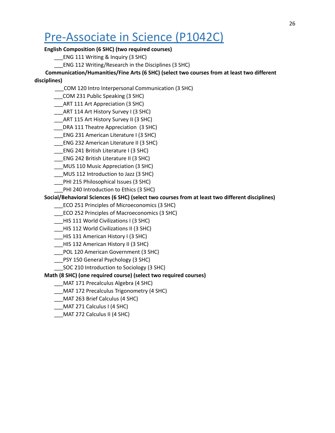### <span id="page-26-0"></span>Pre-Associate in Science (P1042C)

#### **English Composition (6 SHC) (two required courses)**

\_\_\_ENG 111 Writing & Inquiry (3 SHC)

\_\_\_ENG 112 Writing/Research in the Disciplines (3 SHC)

**Communication/Humanities/Fine Arts (6 SHC) (select two courses from at least two different**

#### **disciplines)**

- \_\_\_COM 120 Intro Interpersonal Communication (3 SHC)
- \_\_\_COM 231 Public Speaking (3 SHC)
- \_\_\_ART 111 Art Appreciation (3 SHC)
- \_\_\_ART 114 Art History Survey I (3 SHC)
- \_\_\_ART 115 Art History Survey II (3 SHC)
- \_\_\_DRA 111 Theatre Appreciation (3 SHC)
- \_\_\_ENG 231 American Literature I (3 SHC)
- \_\_\_ENG 232 American Literature II (3 SHC)
- \_\_\_ENG 241 British Literature I (3 SHC)
- \_\_\_ENG 242 British Literature II (3 SHC)
- \_\_\_MUS 110 Music Appreciation (3 SHC)
- \_\_\_MUS 112 Introduction to Jazz (3 SHC)
- \_\_\_PHI 215 Philosophical Issues (3 SHC)
- \_\_\_PHI 240 Introduction to Ethics (3 SHC)

#### **Social/Behavioral Sciences (6 SHC) (select two courses from at least two different disciplines)**

- \_\_\_ECO 251 Principles of Microeconomics (3 SHC)
- \_\_\_ECO 252 Principles of Macroeconomics (3 SHC)
- \_\_\_HIS 111 World Civilizations I (3 SHC)
- \_\_\_HIS 112 World Civilizations II (3 SHC)
- \_\_\_HIS 131 American History I (3 SHC)
- \_\_\_HIS 132 American History II (3 SHC)
- \_\_\_POL 120 American Government (3 SHC)
- \_\_\_PSY 150 General Psychology (3 SHC)
- SOC 210 Introduction to Sociology (3 SHC)

#### **Math (8 SHC) (one required course) (select two required courses)**

- \_\_\_MAT 171 Precalculus Algebra (4 SHC)
- \_\_\_MAT 172 Precalculus Trigonometry (4 SHC)
- \_\_\_MAT 263 Brief Calculus (4 SHC)
- \_\_\_MAT 271 Calculus I (4 SHC)
- \_\_\_MAT 272 Calculus II (4 SHC)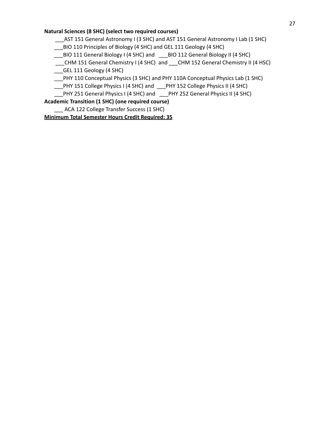#### **Natural Sciences (8 SHC) (select two required courses)**

\_\_\_AST 151 General Astronomy I (3 SHC) and AST 151 General Astronomy I Lab (1 SHC)

\_\_\_BIO 110 Principles of Biology (4 SHC) and GEL 111 Geology (4 SHC)

\_\_\_BIO 111 General Biology I (4 SHC) and \_\_\_BIO 112 General Biology II (4 SHC)

\_\_\_CHM 151 General Chemistry I (4 SHC) and \_\_\_CHM 152 General Chemistry II (4 HSC)

\_\_\_GEL 111 Geology (4 SHC)

\_\_\_PHY 110 Conceptual Physics (3 SHC) and PHY 110A Conceptual Physics Lab (1 SHC)

\_\_\_PHY 151 College Physics I (4 SHC) and \_\_\_PHY 152 College Physics II (4 SHC)

\_\_\_PHY 251 General Physics I (4 SHC) and \_\_\_PHY 252 General Physics II (4 SHC)

**Academic Transition (1 SHC) (one required course)**

\_\_\_ ACA 122 College Transfer Success (1 SHC)

**Minimum Total Semester Hours Credit Required: 35**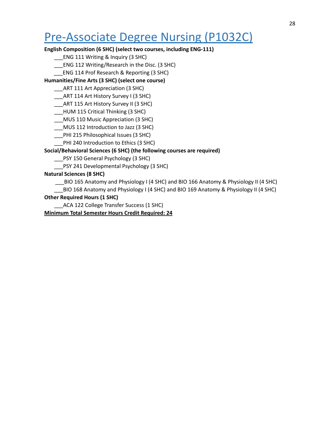### <span id="page-28-0"></span>Pre-Associate Degree Nursing (P1032C)

#### **English Composition (6 SHC) (select two courses, including ENG-111)**

\_\_\_ENG 111 Writing & Inquiry (3 SHC)

\_\_\_ENG 112 Writing/Research in the Disc. (3 SHC)

\_\_\_ENG 114 Prof Research & Reporting (3 SHC)

**Humanities/Fine Arts (3 SHC) (select one course)**

\_\_\_ART 111 Art Appreciation (3 SHC)

\_\_\_ART 114 Art History Survey I (3 SHC)

\_\_\_ART 115 Art History Survey II (3 SHC)

\_\_\_HUM 115 Critical Thinking (3 SHC)

\_\_\_MUS 110 Music Appreciation (3 SHC)

\_\_\_MUS 112 Introduction to Jazz (3 SHC)

\_\_\_PHI 215 Philosophical Issues (3 SHC)

\_\_\_PHI 240 Introduction to Ethics (3 SHC)

#### **Social/Behavioral Sciences (6 SHC) (the following courses are required)**

\_\_\_PSY 150 General Psychology (3 SHC)

\_\_\_PSY 241 Developmental Psychology (3 SHC)

#### **Natural Sciences (8 SHC)**

\_\_\_BIO 165 Anatomy and Physiology I (4 SHC) and BIO 166 Anatomy & Physiology II (4 SHC)

\_BIO 168 Anatomy and Physiology I (4 SHC) and BIO 169 Anatomy & Physiology II (4 SHC)

#### **Other Required Hours (1 SHC)**

\_\_\_ACA 122 College Transfer Success (1 SHC)

**Minimum Total Semester Hours Credit Required: 24**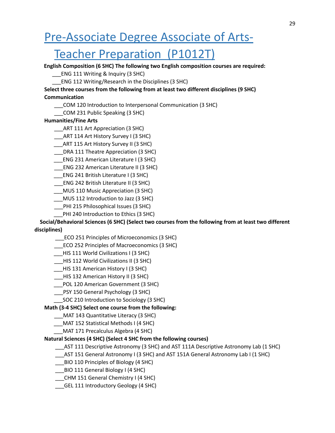### <span id="page-29-0"></span>Pre-Associate Degree Associate of Arts-

### Teacher Preparation (P1012T)

**English Composition (6 SHC) The following two English composition courses are required:**

- \_\_\_ENG 111 Writing & Inquiry (3 SHC)
- \_\_\_ENG 112 Writing/Research in the Disciplines (3 SHC)

**Select three courses from the following from at least two different disciplines (9 SHC) Communication**

- \_\_\_COM 120 Introduction to Interpersonal Communication (3 SHC)
- \_\_\_COM 231 Public Speaking (3 SHC)

#### **Humanities/Fine Arts**

- \_\_\_ART 111 Art Appreciation (3 SHC)
- \_\_\_ART 114 Art History Survey I (3 SHC)
- \_\_\_ART 115 Art History Survey II (3 SHC)
- \_\_\_DRA 111 Theatre Appreciation (3 SHC)
- \_\_\_ENG 231 American Literature I (3 SHC)
- \_\_\_ENG 232 American Literature II (3 SHC)
- \_\_\_ENG 241 British Literature I (3 SHC)
- \_\_\_ENG 242 British Literature II (3 SHC)
- \_\_\_MUS 110 Music Appreciation (3 SHC)
- \_\_\_MUS 112 Introduction to Jazz (3 SHC)
- \_\_\_PHI 215 Philosophical Issues (3 SHC)
- PHI 240 Introduction to Ethics (3 SHC)

**Social/Behavioral Sciences (6 SHC) (Select two courses from the following from at least two different disciplines)**

- \_\_\_ECO 251 Principles of Microeconomics (3 SHC)
- \_\_\_ECO 252 Principles of Macroeconomics (3 SHC)
- \_\_\_HIS 111 World Civilizations I (3 SHC)
- \_\_\_HIS 112 World Civilizations II (3 SHC)
- \_\_\_HIS 131 American History I (3 SHC)
- \_\_\_HIS 132 American History II (3 SHC)
- \_\_\_POL 120 American Government (3 SHC)
- \_\_\_PSY 150 General Psychology (3 SHC)
	- \_\_\_SOC 210 Introduction to Sociology (3 SHC)

#### **Math (3-4 SHC) Select one course from the following:**

- \_\_\_MAT 143 Quantitative Literacy (3 SHC)
- \_\_\_MAT 152 Statistical Methods I (4 SHC)
- \_\_\_MAT 171 Precalculus Algebra (4 SHC)

#### **Natural Sciences (4 SHC) (Select 4 SHC from the following courses)**

- \_\_\_AST 111 Descriptive Astronomy (3 SHC) and AST 111A Descriptive Astronomy Lab (1 SHC)
- \_\_\_AST 151 General Astronomy I (3 SHC) and AST 151A General Astronomy Lab I (1 SHC)
- \_\_\_BIO 110 Principles of Biology (4 SHC)
- \_\_\_BIO 111 General Biology I (4 SHC)
- \_\_\_CHM 151 General Chemistry I (4 SHC)
- \_\_\_GEL 111 Introductory Geology (4 SHC)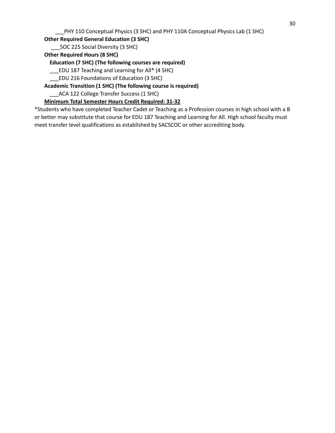\_\_\_PHY 110 Conceptual Physics (3 SHC) and PHY 110A Conceptual Physics Lab (1 SHC)

**Other Required General Education (3 SHC)**

\_\_\_SOC 225 Social Diversity (3 SHC)

**Other Required Hours (8 SHC)**

**Education (7 SHC) (The following courses are required)**

\_\_\_EDU 187 Teaching and Learning for All\* (4 SHC)

\_\_\_EDU 216 Foundations of Education (3 SHC)

**Academic Transition (1 SHC) (The following course is required)**

\_\_\_ACA 122 College Transfer Success (1 SHC)

**Minimum Total Semester Hours Credit Required: 31-32**

\*Students who have completed Teacher Cadet or Teaching as a Profession courses in high school with a B or better may substitute that course for EDU 187 Teaching and Learning for All. High school faculty must meet transfer level qualifications as established by SACSCOC or other accrediting body.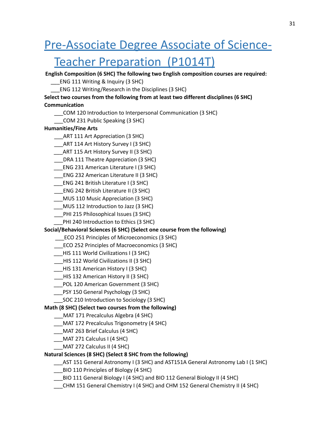### <span id="page-31-0"></span>Pre-Associate Degree Associate of Science-

### Teacher Preparation (P1014T)

**English Composition (6 SHC) The following two English composition courses are required:**

\_\_\_ENG 111 Writing & Inquiry (3 SHC)

\_\_\_ENG 112 Writing/Research in the Disciplines (3 SHC)

#### **Select two courses from the following from at least two different disciplines (6 SHC) Communication**

- \_\_\_COM 120 Introduction to Interpersonal Communication (3 SHC)
- \_\_\_COM 231 Public Speaking (3 SHC)

#### **Humanities/Fine Arts**

- \_\_\_ART 111 Art Appreciation (3 SHC)
- \_\_\_ART 114 Art History Survey I (3 SHC)
- \_\_\_ART 115 Art History Survey II (3 SHC)
- \_\_\_DRA 111 Theatre Appreciation (3 SHC)
- \_\_\_ENG 231 American Literature I (3 SHC)
- \_\_\_ENG 232 American Literature II (3 SHC)
- \_\_\_ENG 241 British Literature I (3 SHC)
- \_\_\_ENG 242 British Literature II (3 SHC)
- \_\_\_MUS 110 Music Appreciation (3 SHC)
- \_\_\_MUS 112 Introduction to Jazz (3 SHC)
- \_\_\_PHI 215 Philosophical Issues (3 SHC)
- PHI 240 Introduction to Ethics (3 SHC)

#### **Social/Behavioral Sciences (6 SHC) (Select one course from the following)**

- \_\_\_ECO 251 Principles of Microeconomics (3 SHC)
- \_\_\_ECO 252 Principles of Macroeconomics (3 SHC)
- \_\_\_HIS 111 World Civilizations I (3 SHC)
- \_\_\_HIS 112 World Civilizations II (3 SHC)
- \_\_\_HIS 131 American History I (3 SHC)
- \_\_\_HIS 132 American History II (3 SHC)
- \_\_\_POL 120 American Government (3 SHC)
- \_\_\_PSY 150 General Psychology (3 SHC)
- \_\_\_SOC 210 Introduction to Sociology (3 SHC)

#### **Math (8 SHC) (Select two courses from the following)**

- \_\_\_MAT 171 Precalculus Algebra (4 SHC)
- \_\_\_MAT 172 Precalculus Trigonometry (4 SHC)
- \_\_\_MAT 263 Brief Calculus (4 SHC)
- \_\_\_MAT 271 Calculus I (4 SHC)
- \_\_\_MAT 272 Calculus II (4 SHC)

#### **Natural Sciences (8 SHC) (Select 8 SHC from the following)**

- \_\_\_AST 151 General Astronomy I (3 SHC) and AST151A General Astronomy Lab I (1 SHC)
- \_\_\_BIO 110 Principles of Biology (4 SHC)
- \_\_\_BIO 111 General Biology I (4 SHC) and BIO 112 General Biology II (4 SHC)
- \_\_\_CHM 151 General Chemistry I (4 SHC) and CHM 152 General Chemistry II (4 SHC)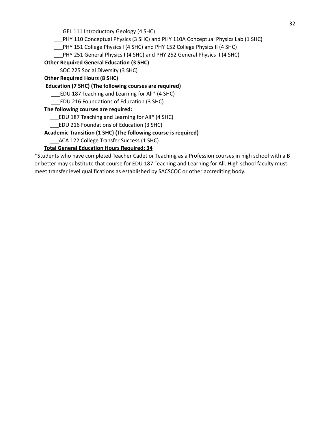\_\_\_GEL 111 Introductory Geology (4 SHC)

\_\_\_PHY 110 Conceptual Physics (3 SHC) and PHY 110A Conceptual Physics Lab (1 SHC)

\_\_\_PHY 151 College Physics I (4 SHC) and PHY 152 College Physics II (4 SHC)

PHY 251 General Physics I (4 SHC) and PHY 252 General Physics II (4 SHC)

**Other Required General Education (3 SHC)**

SOC 225 Social Diversity (3 SHC)

**Other Required Hours (8 SHC)**

**Education (7 SHC) (The following courses are required)**

\_\_\_EDU 187 Teaching and Learning for All\* (4 SHC)

\_\_\_EDU 216 Foundations of Education (3 SHC)

**The following courses are required:**

\_\_\_EDU 187 Teaching and Learning for All\* (4 SHC)

\_\_\_EDU 216 Foundations of Education (3 SHC)

**Academic Transition (1 SHC) (The following course is required)**

\_\_\_ACA 122 College Transfer Success (1 SHC)

#### **Total General Education Hours Required: 34**

\*Students who have completed Teacher Cadet or Teaching as a Profession courses in high school with a B or better may substitute that course for EDU 187 Teaching and Learning for All. High school faculty must meet transfer level qualifications as established by SACSCOC or other accrediting body.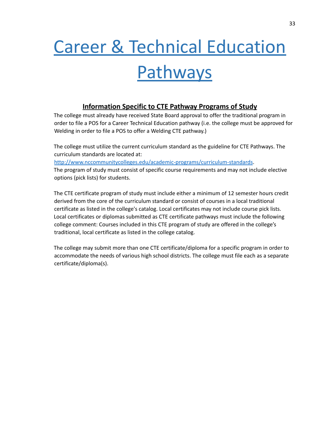# <span id="page-33-0"></span>Career & Technical Education **Pathways**

#### **Information Specific to CTE Pathway Programs of Study**

The college must already have received State Board approval to offer the traditional program in order to file a POS for a Career Technical Education pathway (i.e. the college must be approved for Welding in order to file a POS to offer a Welding CTE pathway.)

The college must utilize the current curriculum standard as the guideline for CTE Pathways. The curriculum standards are located at:

<http://www.nccommunitycolleges.edu/academic-programs/curriculum-standards>.

The program of study must consist of specific course requirements and may not include elective options (pick lists) for students.

The CTE certificate program of study must include either a minimum of 12 semester hours credit derived from the core of the curriculum standard or consist of courses in a local traditional certificate as listed in the college's catalog. Local certificates may not include course pick lists. Local certificates or diplomas submitted as CTE certificate pathways must include the following college comment: Courses included in this CTE program of study are offered in the college's traditional, local certificate as listed in the college catalog.

The college may submit more than one CTE certificate/diploma for a specific program in order to accommodate the needs of various high school districts. The college must file each as a separate certificate/diploma(s).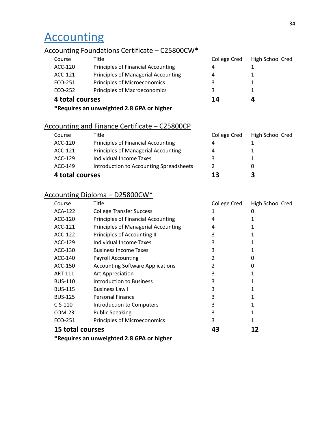### <span id="page-34-0"></span>**Accounting**

#### Accounting Foundations Certificate – C25800CW\*

| Course          | Title                                     | College Cred | High School Cred |
|-----------------|-------------------------------------------|--------------|------------------|
| ACC-120         | Principles of Financial Accounting        | 4            |                  |
| ACC-121         | Principles of Managerial Accounting       | 4            |                  |
| ECO-251         | Principles of Microeconomics              | 3            |                  |
| ECO-252         | Principles of Macroeconomics              | 3            |                  |
| 4 total courses |                                           | 14           | 4                |
|                 | *Requires an unweighted 2.8 GPA or higher |              |                  |

### Accounting and Finance Certificate – C25800CP

| Course          | Title                                   | College Cred | High School Cred |
|-----------------|-----------------------------------------|--------------|------------------|
| ACC-120         | Principles of Financial Accounting      | 4            |                  |
| ACC-121         | Principles of Managerial Accounting     | 4            |                  |
| ACC-129         | Individual Income Taxes                 | ર            |                  |
| ACC-149         | Introduction to Accounting Spreadsheets | 2            | 0                |
| 4 total courses |                                         | 13           | З                |

#### Accounting Diploma – D25800CW\*

| Course                                    | Title                                   | College Cred | High School Cred |
|-------------------------------------------|-----------------------------------------|--------------|------------------|
| ACA-122                                   | <b>College Transfer Success</b>         |              | O                |
| ACC-120                                   | Principles of Financial Accounting      | 4            |                  |
| ACC-121                                   | Principles of Managerial Accounting     | 4            |                  |
| ACC-122                                   | Principles of Accounting II             | 3            | 1                |
| ACC-129                                   | Individual Income Taxes                 | 3            | 1                |
| ACC-130                                   | <b>Business Income Taxes</b>            | 3            |                  |
| ACC-140                                   | <b>Payroll Accounting</b>               | 2            | 0                |
| ACC-150                                   | <b>Accounting Software Applications</b> | 2            | 0                |
| ART-111                                   | Art Appreciation                        | 3            |                  |
| <b>BUS-110</b>                            | Introduction to Business                | 3            | 1                |
| <b>BUS-115</b>                            | <b>Business Law I</b>                   | 3            | 1                |
| <b>BUS-125</b>                            | Personal Finance                        | 3            | 1                |
| $CIS-110$                                 | Introduction to Computers               | 3            | 1                |
| COM-231                                   | <b>Public Speaking</b>                  | 3            | 1                |
| ECO-251                                   | Principles of Microeconomics            | 3            | 1                |
| <b>15 total courses</b>                   |                                         | 43           | 12               |
| *Requires an unweighted 2.8 GPA or higher |                                         |              |                  |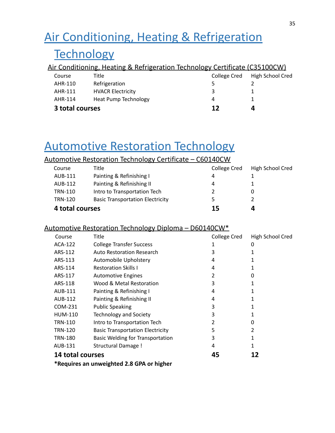## <span id="page-35-0"></span>Air Conditioning, Heating & Refrigeration

### **Technology**

|                 | Air Conditioning, Heating & Refrigeration Technology Certificate (C35100CW) |              |                  |
|-----------------|-----------------------------------------------------------------------------|--------------|------------------|
| Course          | Title                                                                       | College Cred | High School Cred |
| AHR-110         | Refrigeration                                                               |              |                  |
| AHR-111         | <b>HVACR Electricity</b>                                                    | 3            |                  |
| AHR-114         | <b>Heat Pump Technology</b>                                                 | 4            |                  |
| 3 total courses |                                                                             | 12           | 4                |

### <span id="page-35-1"></span>Automotive Restoration Technology

#### Automotive Restoration Technology Certificate – C60140CW

| Course          | Title                                   | <b>College Cred</b> | High School Cred |
|-----------------|-----------------------------------------|---------------------|------------------|
| AUB-111         | Painting & Refinishing I                | 4                   |                  |
| AUB-112         | Painting & Refinishing II               | 4                   |                  |
| <b>TRN-110</b>  | Intro to Transportation Tech            |                     | O                |
| <b>TRN-120</b>  | <b>Basic Transportation Electricity</b> | 5.                  |                  |
| 4 total courses |                                         | 15                  | Д                |

#### Automotive Restoration Technology Diploma – D60140CW\*

| Course                  | Title                                   | College Cred | High School Cred |
|-------------------------|-----------------------------------------|--------------|------------------|
| ACA-122                 | <b>College Transfer Success</b>         |              | 0                |
| ARS-112                 | Auto Restoration Research               | 3            |                  |
| ARS-113                 | Automobile Upholstery                   | 4            |                  |
| ARS-114                 | <b>Restoration Skills I</b>             | 4            |                  |
| ARS-117                 | <b>Automotive Engines</b>               | 2            | 0                |
| ARS-118                 | Wood & Metal Restoration                | 3            |                  |
| AUB-111                 | Painting & Refinishing I                | 4            |                  |
| AUB-112                 | Painting & Refinishing II               | 4            |                  |
| COM-231                 | <b>Public Speaking</b>                  | 3            |                  |
| <b>HUM-110</b>          | <b>Technology and Society</b>           | 3            |                  |
| <b>TRN-110</b>          | Intro to Transportation Tech            | 2            | 0                |
| TRN-120                 | <b>Basic Transportation Electricity</b> | 5            | 2                |
| <b>TRN-180</b>          | <b>Basic Welding for Transportation</b> | 3            |                  |
| AUB-131                 | <b>Structural Damage!</b>               | 4            |                  |
| <b>14 total courses</b> |                                         | 45           | 12               |

**\*Requires an unweighted 2.8 GPA or higher**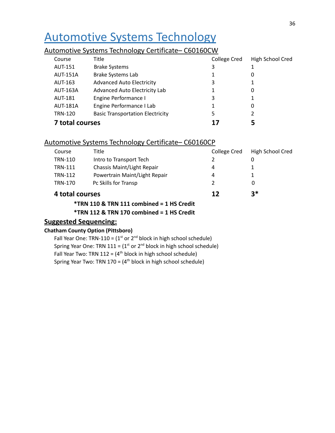### <span id="page-36-0"></span>Automotive Systems Technology

#### Automotive Systems Technology Certificate– C60160CW

| Course          | Title                                   | College Cred | High School Cred |
|-----------------|-----------------------------------------|--------------|------------------|
| <b>AUT-151</b>  | <b>Brake Systems</b>                    | 3            |                  |
| <b>AUT-151A</b> | <b>Brake Systems Lab</b>                |              | 0                |
| AUT-163         | <b>Advanced Auto Electricity</b>        | 3            | 1                |
| <b>AUT-163A</b> | Advanced Auto Electricity Lab           |              | 0                |
| <b>AUT-181</b>  | Engine Performance I                    | 3            |                  |
| <b>AUT-181A</b> | Engine Performance I Lab                |              | 0                |
| <b>TRN-120</b>  | <b>Basic Transportation Electricity</b> | 5            |                  |
| 7 total courses |                                         | 17           |                  |

#### Automotive Systems Technology Certificate– C60160CP

| 4 total courses |                               | 17           | 3*               |
|-----------------|-------------------------------|--------------|------------------|
| <b>TRN-170</b>  | Pc Skills for Transp          | 2            | 0                |
| <b>TRN-112</b>  | Powertrain Maint/Light Repair | 4            |                  |
| <b>TRN-111</b>  | Chassis Maint/Light Repair    | 4            |                  |
| <b>TRN-110</b>  | Intro to Transport Tech       |              | 0                |
| Course          | Title                         | College Cred | High School Cred |
|                 |                               |              |                  |

**\*TRN 110 & TRN 111 combined = 1 HS Credit**

**\*TRN 112 & TRN 170 combined = 1 HS Credit**

#### **Suggested Sequencing:**

#### **Chatham County Option (Pittsboro)**

Fall Year One: TRN-110 =  $(1<sup>st</sup>$  or  $2<sup>nd</sup>$  block in high school schedule) Spring Year One: TRN  $111 = (1<sup>st</sup> or 2<sup>nd</sup> block in high school schedule)$ Fall Year Two: TRN  $112 = (4<sup>th</sup> block in high school schedule)$ Spring Year Two: TRN 170 = (4<sup>th</sup> block in high school schedule)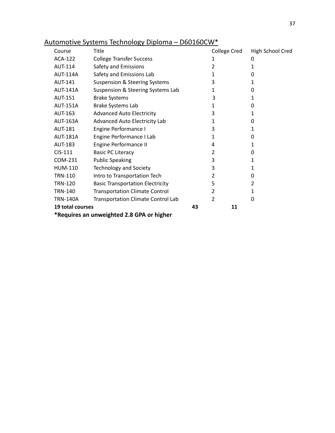| Course                                    | Title                                     | College Cred   | High School Cred |  |
|-------------------------------------------|-------------------------------------------|----------------|------------------|--|
| <b>ACA-122</b>                            | <b>College Transfer Success</b>           | 1              | 0                |  |
| <b>AUT-114</b>                            | Safety and Emissions                      | $\overline{2}$ | 1                |  |
| <b>AUT-114A</b>                           | Safety and Emissions Lab                  | 1              | 0                |  |
| <b>AUT-141</b>                            | <b>Suspension &amp; Steering Systems</b>  | 3              | 1                |  |
| <b>AUT-141A</b>                           | Suspension & Steering Systems Lab         | 1              | 0                |  |
| <b>AUT-151</b>                            | <b>Brake Systems</b>                      | 3              | 1                |  |
| <b>AUT-151A</b>                           | Brake Systems Lab                         | 1              | 0                |  |
| <b>AUT-163</b>                            | <b>Advanced Auto Electricity</b>          | 3              | 1                |  |
| AUT-163A                                  | Advanced Auto Electricity Lab             | 1              | 0                |  |
| <b>AUT-181</b>                            | Engine Performance I                      | 3              | 1                |  |
| <b>AUT-181A</b>                           | Engine Performance I Lab                  | 1              | 0                |  |
| <b>AUT-183</b>                            | Engine Performance II                     | 4              | 1                |  |
| CIS-111                                   | <b>Basic PC Literacy</b>                  | $\overline{2}$ | 0                |  |
| COM-231                                   | <b>Public Speaking</b>                    | 3              | 1                |  |
| <b>HUM-110</b>                            | <b>Technology and Society</b>             | 3              | 1                |  |
| <b>TRN-110</b>                            | Intro to Transportation Tech              | $\overline{2}$ | 0                |  |
| <b>TRN-120</b>                            | <b>Basic Transportation Electricity</b>   | 5              | $\overline{2}$   |  |
| <b>TRN-140</b>                            | <b>Transportation Climate Control</b>     | 2              | 1                |  |
| <b>TRN-140A</b>                           | <b>Transportation Climate Control Lab</b> | $\overline{2}$ | 0                |  |
| 19 total courses                          |                                           | 43<br>11       |                  |  |
| *Requires an unweighted 2.8 GPA or higher |                                           |                |                  |  |

### Automotive Systems Technology Diploma – D60160CW\*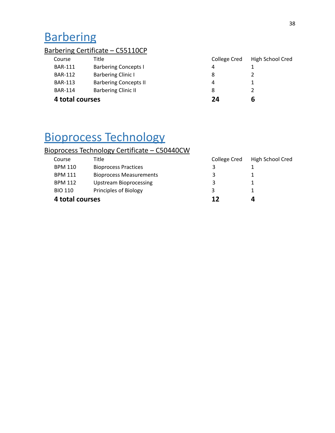## <span id="page-38-0"></span>**Barbering**

### Barbering Certificate – C55110CP

| 4 total courses |                              | 24           | b                |
|-----------------|------------------------------|--------------|------------------|
| <b>BAR-114</b>  | <b>Barbering Clinic II</b>   | 8            |                  |
| <b>BAR-113</b>  | <b>Barbering Concepts II</b> | 4            |                  |
| <b>BAR-112</b>  | <b>Barbering Clinic I</b>    | 8            |                  |
| <b>BAR-111</b>  | <b>Barbering Concepts I</b>  | 4            |                  |
| Course          | Title                        | College Cred | High School Cred |

### Bioprocess Technology

### Bioprocess Technology Certificate – C50440CW

| Course          | Title                          | College Cred | High School Cred |
|-----------------|--------------------------------|--------------|------------------|
| <b>BPM 110</b>  | <b>Bioprocess Practices</b>    | 3            |                  |
| <b>BPM 111</b>  | <b>Bioprocess Measurements</b> | 3            |                  |
| <b>BPM 112</b>  | <b>Upstream Bioprocessing</b>  | 3            |                  |
| <b>BIO 110</b>  | Principles of Biology          | 3            |                  |
| 4 total courses |                                | 12           | Δ                |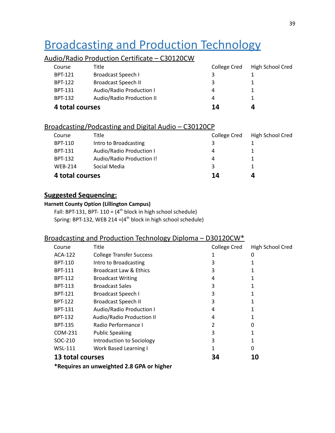## <span id="page-39-0"></span>Broadcasting and Production Technology

#### Audio/Radio Production Certificate – C30120CW

| 4 total courses |                            | 14           |                  |
|-----------------|----------------------------|--------------|------------------|
| <b>BPT-132</b>  | Audio/Radio Production II  | 4            |                  |
| <b>BPT-131</b>  | Audio/Radio Production I   | 4            |                  |
| <b>BPT-122</b>  | <b>Broadcast Speech II</b> | 3            |                  |
| <b>BPT-121</b>  | Broadcast Speech I         | 3            |                  |
| Course          | Title                      | College Cred | High School Cred |

#### Broadcasting/Podcasting and Digital Audio – C30120CP

| 4 total courses |                           | 14           | Д                |
|-----------------|---------------------------|--------------|------------------|
| <b>WFB-214</b>  | Social Media              | 3            |                  |
| <b>BPT-132</b>  | Audio/Radio Production I! | 4            |                  |
| <b>BPT-131</b>  | Audio/Radio Production I  | 4            |                  |
| BPT-110         | Intro to Broadcasting     | 3            |                  |
| Course          | Title                     | College Cred | High School Cred |
|                 |                           |              |                  |

#### **Suggested Sequencing:**

#### **Harnett County Option (Lillington Campus)**

Fall: BPT-131, BPT-110 =  $(4<sup>th</sup>$  block in high school schedule) Spring: BPT-132, WEB 214 = (4<sup>th</sup> block in high school schedule)

#### Broadcasting and Production Technology Diploma – D30120CW\*

| Course           | Title                           | <b>College Cred</b> | High School Cred |
|------------------|---------------------------------|---------------------|------------------|
| <b>ACA-122</b>   | <b>College Transfer Success</b> |                     | 0                |
| <b>BPT-110</b>   | Intro to Broadcasting           | 3                   |                  |
| <b>BPT-111</b>   | Broadcast Law & Ethics          | 3                   |                  |
| <b>BPT-112</b>   | <b>Broadcast Writing</b>        | 4                   |                  |
| <b>BPT-113</b>   | <b>Broadcast Sales</b>          | 3                   |                  |
| <b>BPT-121</b>   | <b>Broadcast Speech I</b>       | 3                   |                  |
| <b>BPT-122</b>   | <b>Broadcast Speech II</b>      | 3                   |                  |
| <b>BPT-131</b>   | Audio/Radio Production I        | 4                   |                  |
| <b>BPT-132</b>   | Audio/Radio Production II       | 4                   |                  |
| <b>BPT-135</b>   | Radio Performance I             | 2                   | 0                |
| COM-231          | <b>Public Speaking</b>          | 3                   |                  |
| SOC-210          | Introduction to Sociology       | 3                   |                  |
| <b>WSL-111</b>   | <b>Work Based Learning I</b>    |                     | 0                |
| 13 total courses |                                 | 34                  | 10               |

**\*Requires an unweighted 2.8 GPA or higher**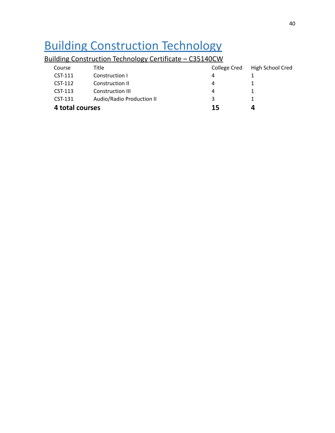### Building Construction Technology

| 4 total courses |                                                                 | 15           | 4                |  |  |  |  |
|-----------------|-----------------------------------------------------------------|--------------|------------------|--|--|--|--|
| CST-131         | Audio/Radio Production II                                       | 3            |                  |  |  |  |  |
| $CST-113$       | <b>Construction III</b>                                         | 4            |                  |  |  |  |  |
| CST-112         | Construction II                                                 | 4            |                  |  |  |  |  |
| CST-111         | Construction I                                                  | 4            |                  |  |  |  |  |
| Course          | Title                                                           | College Cred | High School Cred |  |  |  |  |
|                 | <u> Bullding Construction Technology Certificate — C35140CW</u> |              |                  |  |  |  |  |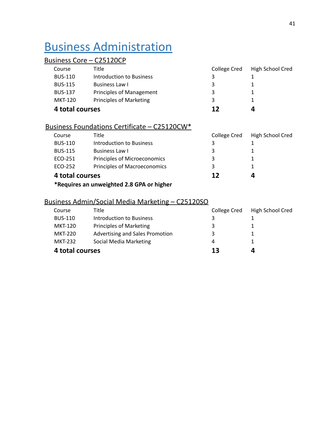### <span id="page-41-0"></span>Business Administration

#### Business Core – C25120CP

| Course          | Title                           | College Cred | High School Cred |
|-----------------|---------------------------------|--------------|------------------|
| <b>BUS-110</b>  | Introduction to Business        |              |                  |
| <b>BUS-115</b>  | Business Law I                  | 3            |                  |
| <b>BUS-137</b>  | <b>Principles of Management</b> | 3            |                  |
| MKT-120         | Principles of Marketing         | 3            |                  |
| 4 total courses |                                 | 12           | 4                |

#### Business Foundations Certificate – C25120CW\*

| Course          | Title                        | College Cred | High School Cred |
|-----------------|------------------------------|--------------|------------------|
| <b>BUS-110</b>  | Introduction to Business     |              |                  |
| <b>BUS-115</b>  | Business Law I               | 3            |                  |
| ECO-251         | Principles of Microeconomics | 3            |                  |
| ECO-252         | Principles of Macroeconomics | 3            |                  |
| 4 total courses |                              | 12           | Д                |

**\*Requires an unweighted 2.8 GPA or higher**

#### Business Admin/Social Media Marketing – C25120SO

| Advertising and Sales Promotion<br>MKT-220<br>3 |  |
|-------------------------------------------------|--|
| Social Media Marketing<br><b>MKT-232</b><br>4   |  |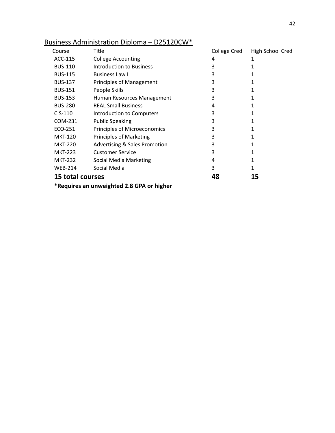| Course           | Title                                     | College Cred | High School Cred |  |  |
|------------------|-------------------------------------------|--------------|------------------|--|--|
| ACC-115          | <b>College Accounting</b>                 | 4            | 1                |  |  |
| <b>BUS-110</b>   | <b>Introduction to Business</b>           | 3            |                  |  |  |
| <b>BUS-115</b>   | <b>Business Law I</b>                     | 3            | 1                |  |  |
| <b>BUS-137</b>   | Principles of Management                  | 3            | 1                |  |  |
| <b>BUS-151</b>   | People Skills                             | 3            |                  |  |  |
| <b>BUS-153</b>   | Human Resources Management                | 3            |                  |  |  |
| <b>BUS-280</b>   | <b>REAL Small Business</b>                | 4            |                  |  |  |
| $CIS-110$        | Introduction to Computers                 | 3            |                  |  |  |
| COM-231          | <b>Public Speaking</b>                    | 3            | 1                |  |  |
| ECO-251          | Principles of Microeconomics              | 3            |                  |  |  |
| <b>MKT-120</b>   | Principles of Marketing                   | 3            |                  |  |  |
| <b>MKT-220</b>   | <b>Advertising &amp; Sales Promotion</b>  | 3            | 1                |  |  |
| <b>MKT-223</b>   | <b>Customer Service</b>                   | 3            | 1                |  |  |
| <b>MKT-232</b>   | Social Media Marketing                    | 4            | 1                |  |  |
| <b>WEB-214</b>   | Social Media                              | 3            | 1                |  |  |
| 15 total courses |                                           | 48           | 15               |  |  |
|                  | *Requires an unweighted 2.8 GPA or higher |              |                  |  |  |

#### Business Administration Diploma – D25120CW\*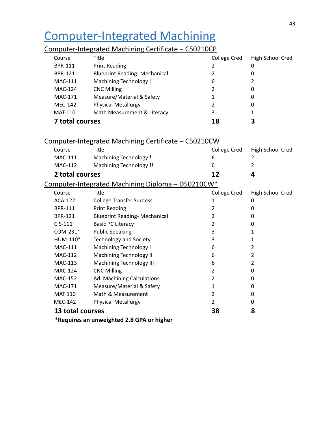## <span id="page-43-0"></span>Computer-Integrated Machining

#### Computer-Integrated Machining Certificate – C50210CP

| Course         |                        | <b>Title</b>                                                | College Cred        | High School Cred |
|----------------|------------------------|-------------------------------------------------------------|---------------------|------------------|
| <b>BPR-111</b> |                        | <b>Print Reading</b>                                        | 2                   | 0                |
| <b>BPR-121</b> |                        | <b>Blueprint Reading- Mechanical</b>                        | 2                   | 0                |
|                | <b>MAC-111</b>         | Machining Technology I                                      | 6                   |                  |
|                | <b>MAC-124</b>         | <b>CNC Milling</b>                                          | 2                   | 0                |
|                | MAC-171                | Measure/Material & Safety                                   |                     | 0                |
|                | <b>MEC-142</b>         | <b>Physical Metallurgy</b>                                  | 2                   | 0                |
| <b>MAT-110</b> |                        | Math Measurement & Literacy                                 | 3                   |                  |
|                | <b>7 total courses</b> |                                                             | 18                  | 3                |
|                |                        | <u>Computer-Integrated Machining Certificate – C50210CW</u> |                     |                  |
| Course         |                        | Title                                                       | <b>College Cred</b> | High School Cred |
|                |                        |                                                             |                     |                  |

| MAC-111         | Machining Technology!                             | 6            | 2                |
|-----------------|---------------------------------------------------|--------------|------------------|
| MAC-112         | Machining Technology !!                           | 6            | 2                |
| 2 total courses |                                                   | 12           | 4                |
|                 | Computer-Integrated Machining Diploma - D50210CW* |              |                  |
| Course          | Title                                             | College Cred | High School Cred |
| ACA-122         | <b>College Transfer Success</b>                   |              | 0                |
| <b>BPR-111</b>  | <b>Print Reading</b>                              |              | 0                |
| <b>BPR-121</b>  | <b>Blueprint Reading- Mechanical</b>              |              | 0                |
| $CIS-111$       | <b>Basic PC Literacy</b>                          |              | 0                |
| COM-231*        | <b>Public Speaking</b>                            | 3            |                  |
| HUM-110*        | <b>Technology and Society</b>                     | 3            |                  |
| MAC-111         | Machining Technology I                            | 6            | 2                |
| MAC-112         | Machining Technology II                           | 6            |                  |
| MAC-113         | <b>Machining Technology III</b>                   | 6            |                  |
| MAC-124         | <b>CNC Milling</b>                                | 2            | 0                |
| MAC-152         | Ad. Machining Calculations                        |              | O                |
| <b>MAC-171</b>  | Measure/Material & Safety                         |              | 0                |

MAT 110 Math & Measurement 2 0 MEC-142 Physical Metallurgy 2 2 0

#### **13 total courses 38 8**

**\*Requires an unweighted 2.8 GPA or higher**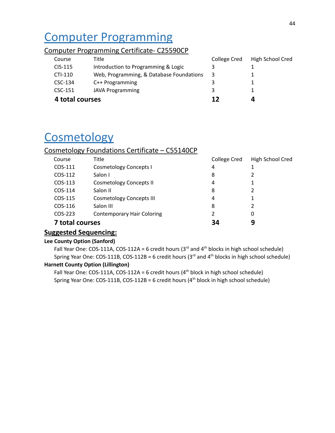## <span id="page-44-0"></span>Computer Programming

#### Computer Programming Certificate- C25590CP

| 4 total courses |                                          | 12           |                  |
|-----------------|------------------------------------------|--------------|------------------|
| CSC-151         | <b>JAVA Programming</b>                  | 3            |                  |
| CSC-134         | $C++$ Programming                        | 3            |                  |
| $CTI-110$       | Web, Programming, & Database Foundations | 3            |                  |
| CIS-115         | Introduction to Programming & Logic      | 3            |                  |
| Course          | Title                                    | College Cred | High School Cred |

### **Cosmetology**

#### Cosmetology Foundations Certificate – C55140CP

| Course          | <b>Title</b>                      | College Cred | High School Cred |
|-----------------|-----------------------------------|--------------|------------------|
| COS-111         | <b>Cosmetology Concepts I</b>     | 4            |                  |
| COS-112         | Salon I                           | 8            |                  |
| COS-113         | <b>Cosmetology Concepts II</b>    | 4            |                  |
| COS-114         | Salon II                          | 8            | 2                |
| COS-115         | <b>Cosmetology Concepts III</b>   | 4            |                  |
| COS-116         | Salon III                         | 8            | 2                |
| COS-223         | <b>Contemporary Hair Coloring</b> | 2            | 0                |
| 7 total courses |                                   | 34           | 9                |

#### **Suggested Sequencing:**

#### **Lee County Option (Sanford)**

Fall Year One: COS-111A, COS-112A = 6 credit hours ( $3<sup>rd</sup>$  and  $4<sup>th</sup>$  blocks in high school schedule) Spring Year One: COS-111B, COS-112B = 6 credit hours (3<sup>rd</sup> and 4<sup>th</sup> blocks in high school schedule)

#### **Harnett County Option (Lillington)**

Fall Year One: COS-111A, COS-112A = 6 credit hours ( $4<sup>th</sup>$  block in high school schedule) Spring Year One: COS-111B, COS-112B = 6 credit hours (4 th block in high school schedule)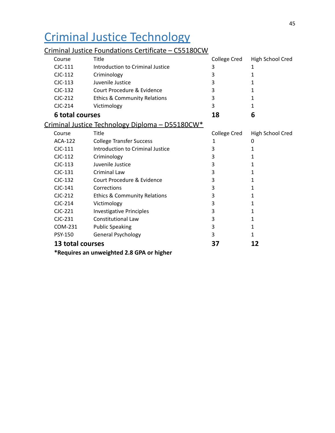## <span id="page-45-0"></span>Criminal Justice Technology

### Criminal Justice Foundations Certificate – C55180CW

| Course                 | Title                                           | College Cred | High School Cred |
|------------------------|-------------------------------------------------|--------------|------------------|
| $CIC-111$              | Introduction to Criminal Justice                | 3            | 1                |
| $C$ JC-112             | Criminology                                     | 3            | 1                |
| $C$ JC-113             | Juvenile Justice                                | 3            | 1                |
| CJC-132                | Court Procedure & Evidence                      | 3            | 1                |
| $CIC-212$              | <b>Ethics &amp; Community Relations</b>         | 3            | 1                |
| CJC-214                | Victimology                                     | 3            | 1                |
| <b>6 total courses</b> |                                                 | 18           | 6                |
|                        | Criminal Justice Technology Diploma - D55180CW* |              |                  |
| Course                 | Title                                           | College Cred | High School Cred |
| <b>ACA-122</b>         | <b>College Transfer Success</b>                 | 1            | 0                |
| $C$ JC-111             | Introduction to Criminal Justice                | 3            | 1                |
| $CJC-112$              | Criminology                                     | 3            | 1                |
| $CIC-113$              | Juvenile Justice                                | 3            | 1                |
| $CIC-131$              | Criminal Law                                    | 3            | 1                |
| CJC-132                | Court Procedure & Evidence                      | 3            | 1                |
| $C$ JC-141             | Corrections                                     | 3            | 1                |
| $CIC-212$              | <b>Ethics &amp; Community Relations</b>         | 3            | 1                |
| $C$ JC-214             | Victimology                                     | 3            | 1                |
| $CJC-221$              | <b>Investigative Principles</b>                 | 3            | 1                |
| $CIC-231$              | <b>Constitutional Law</b>                       | 3            | 1                |
| COM-231                | <b>Public Speaking</b>                          | 3            | 1                |
| PSY-150                | General Psychology                              | 3            | 1                |
| 13 total courses       |                                                 | 37           | 12               |
|                        | *Requires an unweighted 2.8 GPA or higher       |              |                  |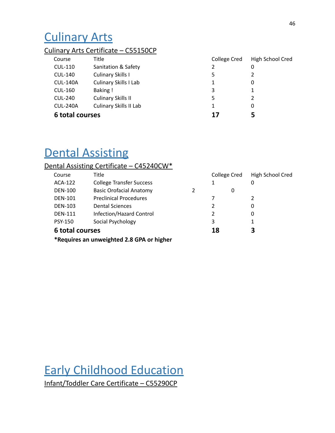## <span id="page-46-0"></span>Culinary Arts

#### Culinary Arts Certificate – C55150CP

| Course          | Title                         | College Cred | High School Cred |
|-----------------|-------------------------------|--------------|------------------|
| CUL-110         | Sanitation & Safety           | 2            | 0                |
| <b>CUL-140</b>  | Culinary Skills I             | 5            |                  |
| <b>CUL-140A</b> | <b>Culinary Skills I Lab</b>  |              | 0                |
| <b>CUL-160</b>  | Baking!                       | 3            |                  |
| <b>CUL-240</b>  | Culinary Skills II            | 5            |                  |
| <b>CUL-240A</b> | <b>Culinary Skills II Lab</b> | 1            | 0                |
| 6 total courses |                               | 17           | 5                |

## **Dental Assisting**

#### Dental Assisting Certificate – C45240CW\*

| Course          | Title                           |    | <b>College Cred</b> | High School Cred |  |
|-----------------|---------------------------------|----|---------------------|------------------|--|
| ACA-122         | <b>College Transfer Success</b> |    |                     | 0                |  |
| <b>DEN-100</b>  | <b>Basic Orofacial Anatomy</b>  |    | 0                   |                  |  |
| <b>DEN-101</b>  | <b>Preclinical Procedures</b>   | 7  |                     |                  |  |
| <b>DEN-103</b>  | <b>Dental Sciences</b>          | 2  |                     | 0                |  |
| <b>DEN-111</b>  | Infection/Hazard Control        | 2  |                     | 0                |  |
| <b>PSY-150</b>  | Social Psychology               | 3  |                     | 1                |  |
| 6 total courses |                                 | 18 |                     | 3                |  |
| $\frac{1}{2}$   | .                               |    |                     |                  |  |

**\*Requires an unweighted 2.8 GPA or higher**

<span id="page-46-1"></span>Early Childhood Education Infant/Toddler Care Certificate – C55290CP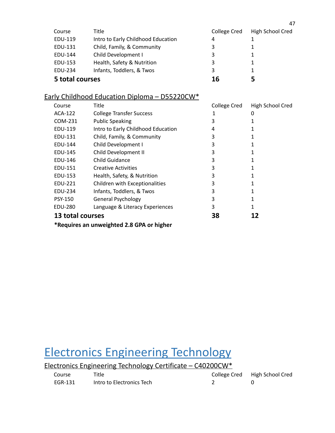| Course          | Title                              | College Cred | High School Cred |
|-----------------|------------------------------------|--------------|------------------|
| EDU-119         | Intro to Early Childhood Education | 4            |                  |
| EDU-131         | Child, Family, & Community         | 3            |                  |
| EDU-144         | Child Development I                | 3            |                  |
| EDU-153         | Health, Safety & Nutrition         | 3            |                  |
| EDU-234         | Infants, Toddlers, & Twos          | 3            |                  |
| 5 total courses |                                    | 16           | 5                |

### Early Childhood Education Diploma – D55220CW\*

| Course                                    | Title                              | College Cred | High School Cred |  |
|-------------------------------------------|------------------------------------|--------------|------------------|--|
| ACA-122                                   | <b>College Transfer Success</b>    | 1            | 0                |  |
| COM-231                                   | <b>Public Speaking</b>             | 3            |                  |  |
| EDU-119                                   | Intro to Early Childhood Education | 4            |                  |  |
| EDU-131                                   | Child, Family, & Community         | 3            |                  |  |
| EDU-144                                   | Child Development I                | 3            |                  |  |
| EDU-145                                   | Child Development II               | 3            |                  |  |
| EDU-146                                   | <b>Child Guidance</b>              | 3            |                  |  |
| EDU-151                                   | <b>Creative Activities</b>         | 3            |                  |  |
| EDU-153                                   | Health, Safety, & Nutrition        | 3            |                  |  |
| EDU-221                                   | Children with Exceptionalities     | 3            |                  |  |
| EDU-234                                   | Infants, Toddlers, & Twos          | 3            |                  |  |
| <b>PSY-150</b>                            | <b>General Psychology</b>          | 3            |                  |  |
| EDU-280                                   | Language & Literacy Experiences    | 3            | 1                |  |
| 13 total courses                          |                                    | 38           | 12               |  |
| *Requires an unweighted 2.8 GPA or higher |                                    |              |                  |  |

## <span id="page-47-0"></span>Electronics Engineering Technology

| Electronics Engineering Technology Certificate – C40200CW* |                           |  |                               |  |
|------------------------------------------------------------|---------------------------|--|-------------------------------|--|
| Course                                                     | Title                     |  | College Cred High School Cred |  |
| FGR-131                                                    | Intro to Electronics Tech |  |                               |  |

47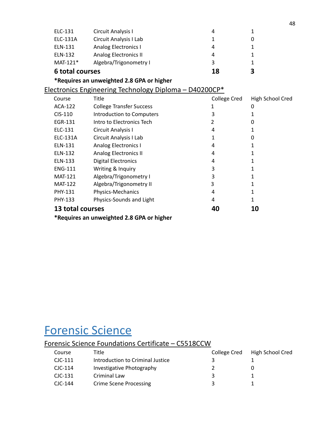| ELC-131                | Circuit Analysis I                                     | 4            | 1                |
|------------------------|--------------------------------------------------------|--------------|------------------|
| ELC-131A               | Circuit Analysis I Lab                                 | 1            | 0                |
| ELN-131                | Analog Electronics I                                   | 4            | 1                |
| ELN-132                | <b>Analog Electronics II</b>                           | 4            | 1                |
| $MAT-121*$             | Algebra/Trigonometry I                                 | 3            | 1                |
| <b>6 total courses</b> |                                                        | 18           | 3                |
|                        | *Requires an unweighted 2.8 GPA or higher              |              |                  |
|                        | Electronics Engineering Technology Diploma - D40200CP* |              |                  |
| Course                 | Title                                                  | College Cred | High School Cred |
| <b>ACA-122</b>         | <b>College Transfer Success</b>                        | 1            | 0                |
| CIS-110                | <b>Introduction to Computers</b>                       | 3            | 1                |
| EGR-131                | Intro to Electronics Tech                              | 2            | 0                |
| ELC-131                | Circuit Analysis I                                     | 4            | 1                |
| ELC-131A               | Circuit Analysis I Lab                                 | 1            | 0                |
| ELN-131                | <b>Analog Electronics I</b>                            | 4            | 1                |
| ELN-132                | <b>Analog Electronics II</b>                           | 4            | 1                |
| ELN-133                | <b>Digital Electronics</b>                             | 4            | 1                |
| <b>ENG-111</b>         | Writing & Inquiry                                      | 3            | 1                |
| <b>MAT-121</b>         | Algebra/Trigonometry I                                 | 3            | 1                |
| <b>MAT-122</b>         | Algebra/Trigonometry II                                | 3            | 1                |
| PHY-131                | Physics-Mechanics                                      | 4            | 1                |
| PHY-133                | Physics-Sounds and Light                               | 4            | 1                |
| 13 total courses       |                                                        | 40           | 10               |
| . .                    |                                                        |              |                  |

**\*Requires an unweighted 2.8 GPA or higher**

### <span id="page-48-0"></span>Forensic Science

### Forensic Science Foundations Certificate – C5518CCW

| Course    | Title                            | College Cred | High School Cred |
|-----------|----------------------------------|--------------|------------------|
| $CIC-111$ | Introduction to Criminal Justice |              |                  |
| $CIC-114$ | Investigative Photography        |              |                  |
| $CIC-131$ | Criminal Law                     | ર            |                  |
| $CIC-144$ | <b>Crime Scene Processing</b>    | ર            |                  |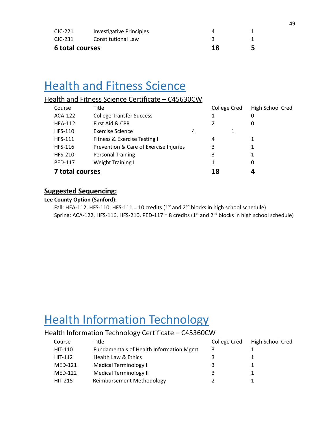| 6 total courses |                          | 18 |  |
|-----------------|--------------------------|----|--|
| CJC-231         | Constitutional Law       |    |  |
| CJC-221         | Investigative Principles |    |  |

### <span id="page-49-0"></span>**Health and Fitness Science**

#### Health and Fitness Science Certificate – C45630CW

| Course          | Title                                  |   | College Cred | High School Cred |
|-----------------|----------------------------------------|---|--------------|------------------|
| ACA-122         | <b>College Transfer Success</b>        |   |              | 0                |
| <b>HEA-112</b>  | First Aid & CPR                        |   |              | 0                |
| <b>HFS-110</b>  | <b>Exercise Science</b>                | 4 |              |                  |
| <b>HFS-111</b>  | Fitness & Exercise Testing I           |   | 4            |                  |
| <b>HFS-116</b>  | Prevention & Care of Exercise Injuries |   | 3            |                  |
| <b>HFS-210</b>  | <b>Personal Training</b>               |   | 3            |                  |
| <b>PED-117</b>  | Weight Training I                      |   |              | 0                |
| 7 total courses |                                        |   | 18           |                  |

#### **Suggested Sequencing:**

#### **Lee County Option (Sanford):**

Fall: HEA-112, HFS-110, HFS-111 = 10 credits  $(1<sup>st</sup>$  and  $2<sup>nd</sup>$  blocks in high school schedule) Spring: ACA-122, HFS-116, HFS-210, PED-117 = 8 credits (1<sup>st</sup> and 2<sup>nd</sup> blocks in high school schedule)

### <span id="page-49-1"></span>**Health Information Technology**

#### Health Information Technology Certificate – C45360CW

| Course         | Title                                   | College Cred | High School Cred |
|----------------|-----------------------------------------|--------------|------------------|
| HIT-110        | Fundamentals of Health Information Mgmt | 3            |                  |
| HIT-112        | Health Law & Ethics                     | 3            |                  |
| <b>MED-121</b> | Medical Terminology I                   | 3            |                  |
| <b>MED-122</b> | <b>Medical Terminology II</b>           | 3            |                  |
| <b>HIT-215</b> | Reimbursement Methodology               |              |                  |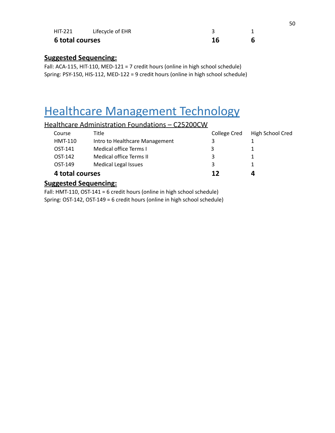| <b>HIT-221</b>  | Lifecycle of EHR |  |
|-----------------|------------------|--|
| 6 total courses |                  |  |

#### **Suggested Sequencing:**

Fall: ACA-115, HIT-110, MED-121 = 7 credit hours (online in high school schedule) Spring: PSY-150, HIS-112, MED-122 = 9 credit hours (online in high school schedule)

## <span id="page-50-0"></span>Healthcare Management Technology

#### Healthcare Administration Foundations – C25200CW

| Course<br>HMT-110 | Title<br>Intro to Healthcare Management | College Cred<br>3 | High School Cred |
|-------------------|-----------------------------------------|-------------------|------------------|
| OST-141           | Medical office Terms I                  | 3                 |                  |
| OST-142           | Medical office Terms II                 | 3                 |                  |
| OST-149           | <b>Medical Legal Issues</b>             | 3                 |                  |
| 4 total courses   |                                         | 12                | 4                |

#### **Suggested Sequencing:**

Fall: HMT-110, OST-141 = 6 credit hours (online in high school schedule) Spring: OST-142, OST-149 = 6 credit hours (online in high school schedule)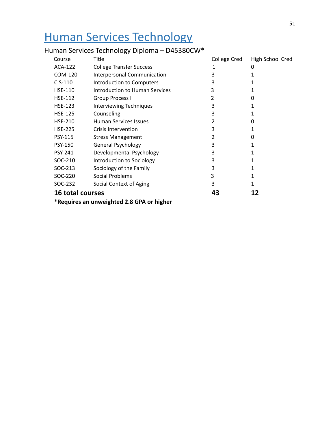## <span id="page-51-0"></span>Human Services Technology

#### Human Services Technology Diploma – D45380CW\*

| Course                  | Title                            | College Cred | High School Cred |
|-------------------------|----------------------------------|--------------|------------------|
| ACA-122                 | <b>College Transfer Success</b>  | 1            | 0                |
| COM-120                 | Interpersonal Communication      | 3            |                  |
| $CIS-110$               | <b>Introduction to Computers</b> | 3            |                  |
| <b>HSE-110</b>          | Introduction to Human Services   | 3            |                  |
| <b>HSE-112</b>          | Group Process I                  | 2            | 0                |
| <b>HSE-123</b>          | <b>Interviewing Techniques</b>   | 3            |                  |
| <b>HSE-125</b>          | Counseling                       | 3            |                  |
| <b>HSE-210</b>          | Human Services Issues            | 2            | 0                |
| <b>HSE-225</b>          | <b>Crisis Intervention</b>       | 3            |                  |
| PSY-115                 | <b>Stress Management</b>         | 2            | 0                |
| <b>PSY-150</b>          | <b>General Psychology</b>        | 3            |                  |
| <b>PSY-241</b>          | Developmental Psychology         | 3            |                  |
| SOC-210                 | Introduction to Sociology        | 3            |                  |
| SOC-213                 | Sociology of the Family          | 3            |                  |
| SOC-220                 | <b>Social Problems</b>           | 3            |                  |
| SOC-232                 | Social Context of Aging          | 3            |                  |
| <b>16 total courses</b> |                                  | 43           | 12               |
| . .                     |                                  |              |                  |

**\*Requires an unweighted 2.8 GPA or higher**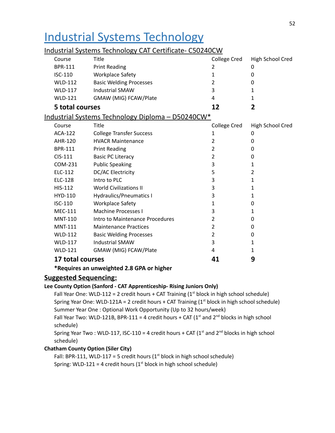## <span id="page-52-0"></span>Industrial Systems Technology

#### Course Title College Cred High School Cred BPR-111 Print Reading 2 0 ISC-110 Workplace Safety 1 0 WLD-112 Basic Welding Processes 2 0 WLD-117 Industrial SMAW 3 1 WLD-121 GMAW (MIG) FCAW/Plate 4 4 1 **5 total courses 12 2** Industrial Systems Technology Diploma – D50240CW\* Course Title College Cred High School Cred ACA-122 College Transfer Success 1 0 AHR-120 HVACR Maintenance 2 0 BPR-111 Print Reading 2 0 CIS-111 Basic PC Literacy 2 0 COM-231 Public Speaking 2001 1 ELC-112 DC/AC Electricity 5 2 ELC-128 Intro to PLC 3 1 HIS-112 World Civilizations II 3 3 1 1 HYD-110 Hydraulics/Pneumatics I 3 3 1 ISC-110 Workplace Safety 1 0 MEC-111 Machine Processes I 3 3 1 1 MNT-110 Intro to Maintenance Procedures 2 2 0 MNT-111 Maintenance Practices 2 2 0 WLD-112 Basic Welding Processes 2 2 0 WLD-117 Industrial SMAW 3 1 WLD-121 GMAW (MIG) FCAW/Plate 4 4 1 **17 total courses 41 9**

#### Industrial Systems Technology CAT Certificate- C50240CW

**\*Requires an unweighted 2.8 GPA or higher**

#### **Suggested Sequencing:**

#### **Lee County Option (Sanford - CAT Apprenticeship- Rising Juniors Only)**

Fall Year One: WLD-112 = 2 credit hours + CAT Training  $(1<sup>st</sup>$  block in high school schedule) Spring Year One: WLD-121A = 2 credit hours  $+$  CAT Training (1st block in high school schedule) Summer Year One : Optional Work Opportunity (Up to 32 hours/week)

Fall Year Two: WLD-121B, BPR-111 = 4 credit hours  $+$  CAT (1<sup>st</sup> and 2<sup>nd</sup> blocks in high school schedule)

Spring Year Two : WLD-117, ISC-110 = 4 credit hours + CAT ( $1<sup>st</sup>$  and  $2<sup>nd</sup>$  blocks in high school schedule)

#### **Chatham County Option (Siler City)**

Fall: BPR-111, WLD-117 = 5 credit hours ( $1<sup>st</sup>$  block in high school schedule) Spring: WLD-121 = 4 credit hours ( $1<sup>st</sup>$  block in high school schedule)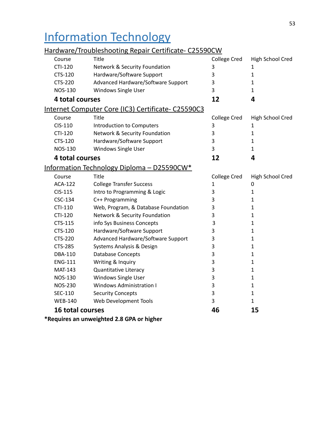## <span id="page-53-0"></span>Information Technology

### Hardware/Troubleshooting Repair Certificate- C25590CW

| Course         | Title                               | <b>College Cred</b>                                                                                                                                        | High School Cred |
|----------------|-------------------------------------|------------------------------------------------------------------------------------------------------------------------------------------------------------|------------------|
| CTI-120        | Network & Security Foundation       | 3                                                                                                                                                          | 1                |
| CTS-120        | Hardware/Software Support           | 3                                                                                                                                                          | $\mathbf{1}$     |
| <b>CTS-220</b> | Advanced Hardware/Software Support  | 3                                                                                                                                                          | 1                |
| <b>NOS-130</b> | Windows Single User                 | 3                                                                                                                                                          | 1                |
|                |                                     | 12                                                                                                                                                         | 4                |
|                |                                     |                                                                                                                                                            |                  |
| Course         | Title                               | College Cred                                                                                                                                               | High School Cred |
| CIS-110        | Introduction to Computers           | 3                                                                                                                                                          | 1                |
| CTI-120        | Network & Security Foundation       | 3                                                                                                                                                          | 1                |
| CTS-120        | Hardware/Software Support           | 3                                                                                                                                                          | 1                |
| <b>NOS-130</b> | Windows Single User                 | 3                                                                                                                                                          | 1                |
|                |                                     | 12                                                                                                                                                         | 4                |
|                |                                     |                                                                                                                                                            |                  |
| Course         | Title                               | College Cred                                                                                                                                               | High School Cred |
| <b>ACA-122</b> | <b>College Transfer Success</b>     | 1                                                                                                                                                          | 0                |
| CIS-115        | Intro to Programming & Logic        | 3                                                                                                                                                          | $\mathbf{1}$     |
| CSC-134        | C++ Programming                     | 3                                                                                                                                                          | 1                |
| CTI-110        | Web, Program, & Database Foundation | 3                                                                                                                                                          | 1                |
| <b>CTI-120</b> | Network & Security Foundation       | 3                                                                                                                                                          | 1                |
| CTS-115        | info Sys Business Concepts          | 3                                                                                                                                                          | 1                |
| CTS-120        | Hardware/Software Support           | 3                                                                                                                                                          | 1                |
| <b>CTS-220</b> | Advanced Hardware/Software Support  | 3                                                                                                                                                          | $\mathbf{1}$     |
| <b>CTS-285</b> | Systems Analysis & Design           | 3                                                                                                                                                          | 1                |
| <b>DBA-110</b> | <b>Database Concepts</b>            | 3                                                                                                                                                          | 1                |
| <b>ENG-111</b> | Writing & Inquiry                   | 3                                                                                                                                                          | 1                |
| <b>MAT-143</b> | <b>Quantitative Literacy</b>        | 3                                                                                                                                                          | 1                |
| <b>NOS-130</b> | Windows Single User                 | 3                                                                                                                                                          | $\mathbf{1}$     |
| <b>NOS-230</b> | <b>Windows Administration I</b>     | 3                                                                                                                                                          | 1                |
| SEC-110        | <b>Security Concepts</b>            | 3                                                                                                                                                          | 1                |
| <b>WEB-140</b> | Web Development Tools               | 3                                                                                                                                                          | 1                |
|                |                                     | 46                                                                                                                                                         | 15               |
|                |                                     | 4 total courses<br>Internet Computer Core (IC3) Certificate- C25590C3<br>4 total courses<br>Information Technology Diploma - D25590CW*<br>16 total courses |                  |

**\*Requires an unweighted 2.8 GPA or higher**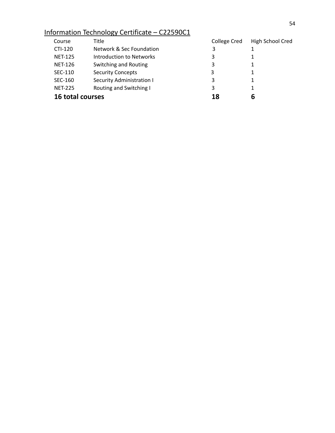### Information Technology Certificate – C22590C1

| Course                  | Title                     | College Cred | High School Cred |
|-------------------------|---------------------------|--------------|------------------|
| CTI-120                 | Network & Sec Foundation  | 3            |                  |
| <b>NET-125</b>          | Introduction to Networks  | 3            |                  |
| <b>NET-126</b>          | Switching and Routing     | 3            |                  |
| SEC-110                 | <b>Security Concepts</b>  | 3            |                  |
| SEC-160                 | Security Administration I | 3            |                  |
| <b>NET-225</b>          | Routing and Switching I   | 3            | 1                |
| <b>16 total courses</b> |                           | 18           | b                |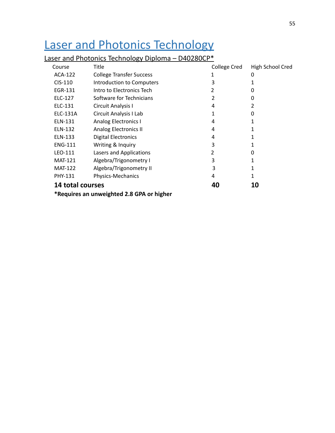## <span id="page-55-0"></span>Laser and Photonics Technology

### Laser and Photonics Technology Diploma - D40280CP\*

| Course                                    | <b>Title</b>                     | <b>College Cred</b> | High School Cred |
|-------------------------------------------|----------------------------------|---------------------|------------------|
| ACA-122                                   | <b>College Transfer Success</b>  | 1                   | 0                |
| $CIS-110$                                 | <b>Introduction to Computers</b> | 3                   |                  |
| EGR-131                                   | Intro to Electronics Tech        | 2                   | 0                |
| ELC-127                                   | Software for Technicians         | 2                   | 0                |
| ELC-131                                   | Circuit Analysis I               | 4                   | 2                |
| ELC-131A                                  | Circuit Analysis I Lab           | 1                   | 0                |
| ELN-131                                   | <b>Analog Electronics I</b>      | 4                   |                  |
| ELN-132                                   | Analog Electronics II            | 4                   |                  |
| ELN-133                                   | <b>Digital Electronics</b>       | 4                   | 1                |
| <b>ENG-111</b>                            | Writing & Inquiry                | 3                   | 1                |
| LEO-111                                   | Lasers and Applications          | 2                   | 0                |
| <b>MAT-121</b>                            | Algebra/Trigonometry I           | 3                   |                  |
| <b>MAT-122</b>                            | Algebra/Trigonometry II          | 3                   | 1                |
| <b>PHY-131</b>                            | Physics-Mechanics                | 4                   | 1                |
| <b>14 total courses</b>                   |                                  | 40                  | 10               |
| *Requires an unweighted 2.8 GPA or higher |                                  |                     |                  |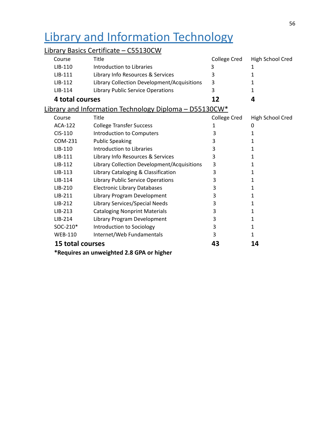## <span id="page-56-0"></span>Library and Information Technology

### Library Basics Certificate - C55130CW

| Course           | Title                                                  | College Cred | High School Cred |
|------------------|--------------------------------------------------------|--------------|------------------|
| LIB-110          | Introduction to Libraries                              | 3            | 1                |
| LIB-111          | Library Info Resources & Services                      | 3            | 1                |
| LIB-112          | Library Collection Development/Acquisitions            | 3            | 1                |
| LIB-114          | Library Public Service Operations                      | 3            | 1                |
| 4 total courses  |                                                        | 12           | 4                |
|                  | Library and Information Technology Diploma - D55130CW* |              |                  |
| Course           | Title                                                  | College Cred | High School Cred |
| <b>ACA-122</b>   | <b>College Transfer Success</b>                        | 1            | 0                |
| CIS-110          | Introduction to Computers                              | 3            | 1                |
| COM-231          | <b>Public Speaking</b>                                 | 3            | 1                |
| LIB-110          | Introduction to Libraries                              | 3            | 1                |
| $LIB-111$        | Library Info Resources & Services                      | 3            | 1                |
| LIB-112          | Library Collection Development/Acquisitions            | 3            | 1                |
| LIB-113          | Library Cataloging & Classification                    | 3            | 1                |
| $LIB-114$        | Library Public Service Operations                      | 3            | 1                |
| LIB-210          | <b>Electronic Library Databases</b>                    | 3            | 1                |
| $LIB-211$        | Library Program Development                            | 3            | 1                |
| LIB-212          | Library Services/Special Needs                         | 3            | 1                |
| LIB-213          | <b>Cataloging Nonprint Materials</b>                   | 3            | 1                |
| LIB-214          | Library Program Development                            | 3            | 1                |
| SOC-210*         | Introduction to Sociology                              | 3            | 1                |
| <b>WEB-110</b>   | Internet/Web Fundamentals                              | 3            | 1                |
| 15 total courses |                                                        | 43           | 14               |
|                  | *Requires an unweighted 2.8 GPA or higher              |              |                  |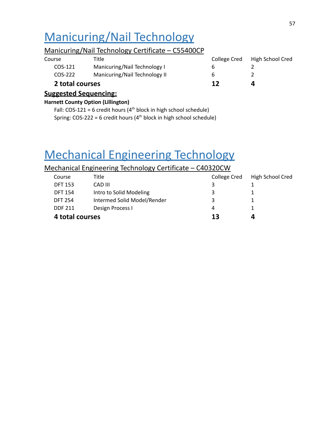## <span id="page-57-0"></span>Manicuring/Nail Technology

#### Manicuring/Nail Technology Certificate – C55400CP

| 2 total courses |                               | 17           |                  |
|-----------------|-------------------------------|--------------|------------------|
| COS-222         | Manicuring/Nail Technology II | b            |                  |
| COS-121         | Manicuring/Nail Technology I  | h            |                  |
| Course          | Title                         | College Cred | High School Cred |

#### **Suggested Sequencing:**

#### **Harnett County Option (Lillington)**

Fall:  $COS-121 = 6$  credit hours ( $4<sup>th</sup>$  block in high school schedule) Spring:  $COS-222 = 6$  credit hours ( $4<sup>th</sup>$  block in high school schedule)

## Mechanical Engineering Technology

#### Mechanical Engineering Technology Certificate – C40320CW

<span id="page-57-1"></span>

| Course          | Title                       | College Cred | High School Cred |
|-----------------|-----------------------------|--------------|------------------|
| <b>DFT 153</b>  | CAD III                     |              |                  |
| <b>DFT 154</b>  | Intro to Solid Modeling     | 3            |                  |
| <b>DFT 254</b>  | Intermed Solid Model/Render | 3            |                  |
| <b>DDF 211</b>  | Design Process I            | 4            |                  |
| 4 total courses |                             | 13           | Д                |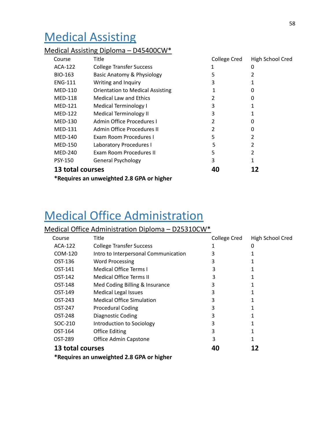## **Medical Assisting**

#### Medical Assisting Diploma – D45400CW\*

| Course                                    | <b>Title</b>                            | College Cred | High School Cred |
|-------------------------------------------|-----------------------------------------|--------------|------------------|
| ACA-122                                   | <b>College Transfer Success</b>         |              | 0                |
| <b>BIO-163</b>                            | Basic Anatomy & Physiology              | 5            |                  |
| <b>ENG-111</b>                            | Writing and Inquiry                     | 3            |                  |
| MED-110                                   | <b>Orientation to Medical Assisting</b> | 1            | 0                |
| <b>MED-118</b>                            | <b>Medical Law and Ethics</b>           | 2            | 0                |
| <b>MED-121</b>                            | Medical Terminology I                   | 3            |                  |
| <b>MED-122</b>                            | <b>Medical Terminology II</b>           | 3            |                  |
| <b>MED-130</b>                            | Admin Office Procedures I               | 2            | 0                |
| <b>MED-131</b>                            | Admin Office Procedures II              | 2            | 0                |
| <b>MED-140</b>                            | Exam Room Procedures I                  | 5            | 2                |
| <b>MED-150</b>                            | Laboratory Procedures I                 | 5            | 2                |
| <b>MED-240</b>                            | Exam Room Procedures II                 | 5            | 2                |
| <b>PSY-150</b>                            | <b>General Psychology</b>               | 3            |                  |
| 13 total courses<br>40<br>12              |                                         |              |                  |
| *Requires an unweighted 2.8 GPA or higher |                                         |              |                  |

### <span id="page-58-0"></span>Medical Office Administration

### Medical Office Administration Diploma – D25310CW\*

| Course           | Title                                | <b>College Cred</b> | High School Cred |
|------------------|--------------------------------------|---------------------|------------------|
| ACA-122          | <b>College Transfer Success</b>      |                     | 0                |
| COM-120          | Intro to Interpersonal Communication | 3                   |                  |
| OST-136          | <b>Word Processing</b>               | 3                   |                  |
| OST-141          | <b>Medical Office Terms I</b>        | 3                   |                  |
| OST-142          | <b>Medical Office Terms II</b>       | 3                   |                  |
| OST-148          | Med Coding Billing & Insurance       | 3                   |                  |
| OST-149          | <b>Medical Legal Issues</b>          | 3                   |                  |
| OST-243          | <b>Medical Office Simulation</b>     | 3                   |                  |
| OST-247          | <b>Procedural Coding</b>             | 3                   |                  |
| OST-248          | Diagnostic Coding                    | 3                   |                  |
| SOC-210          | Introduction to Sociology            | 3                   |                  |
| OST-164          | <b>Office Editing</b>                | 3                   |                  |
| OST-289          | Office Admin Capstone                | 3                   |                  |
| 13 total courses |                                      | 40                  |                  |

**\*Requires an unweighted 2.8 GPA or higher**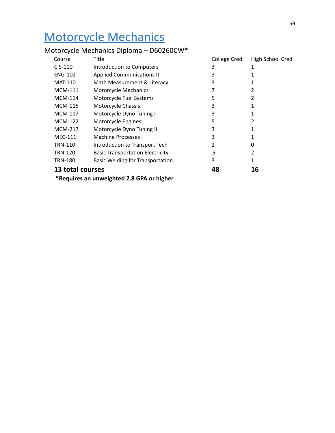## <span id="page-59-0"></span>Motorcycle Mechanics

#### Motorcycle Mechanics Diploma – D60260CW\*

| Course                                    | Title                                   | College Cred | High School Cred |
|-------------------------------------------|-----------------------------------------|--------------|------------------|
| $CIS-110$                                 | Introduction to Computers               | 3            |                  |
| <b>ENG-102</b>                            | <b>Applied Communications II</b>        | 3            |                  |
| <b>MAT-110</b>                            | Math Measurement & Literacy             | 3            |                  |
| <b>MCM-111</b>                            | <b>Motorcycle Mechanics</b>             | 7            | 2                |
| <b>MCM-114</b>                            | Motorcycle Fuel Systems                 | 5            | 2                |
| <b>MCM-115</b>                            | Motorcycle Chassis                      | 3            |                  |
| MCM-117                                   | Motorcycle Dyno Tuning I                | 3            |                  |
| <b>MCM-122</b>                            | Motorcycle Engines                      | 5            | 2                |
| <b>MCM-217</b>                            | Motorcycle Dyno Tuning II               | 3            |                  |
| <b>MEC-111</b>                            | Machine Processes I                     | 3            |                  |
| <b>TRN-110</b>                            | Introduction to Transport Tech          | 2            | 0                |
| <b>TRN-120</b>                            | <b>Basic Transportation Electricity</b> | 5            | 2                |
| <b>TRN-180</b>                            | Basic Welding for Transportation        | 3            | 1                |
| 13 total courses                          |                                         | 48           | 16               |
| *Requires an unweighted 2.8 GPA or higher |                                         |              |                  |

59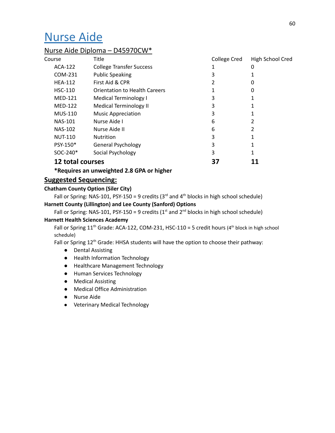### <span id="page-60-0"></span>Nurse Aide

#### Nurse Aide Diploma – D45970CW\*

| Course               | Title                           | <b>College Cred</b> | High School Cred |
|----------------------|---------------------------------|---------------------|------------------|
| ACA-122              | <b>College Transfer Success</b> | 1                   | 0                |
| COM-231              | <b>Public Speaking</b>          | 3                   |                  |
| <b>HEA-112</b>       | First Aid & CPR                 | 2                   | 0                |
| <b>HSC-110</b>       | Orientation to Health Careers   |                     | 0                |
| <b>MED-121</b>       | <b>Medical Terminology I</b>    | 3                   |                  |
| <b>MED-122</b>       | <b>Medical Terminology II</b>   | 3                   |                  |
| <b>MUS-110</b>       | <b>Music Appreciation</b>       | 3                   |                  |
| <b>NAS-101</b>       | Nurse Aide I                    | 6                   | 2                |
| <b>NAS-102</b>       | Nurse Aide II                   | 6                   | 2                |
| <b>NUT-110</b>       | <b>Nutrition</b>                | 3                   |                  |
| PSY-150*             | <b>General Psychology</b>       | 3                   |                  |
| SOC-240 <sup>*</sup> | Social Psychology               | 3                   |                  |
| 12 total courses     |                                 |                     |                  |

**\*Requires an unweighted 2.8 GPA or higher**

#### **Suggested Sequencing:**

#### **Chatham County Option (Siler City)**

Fall or Spring: NAS-101, PSY-150 = 9 credits ( $3<sup>rd</sup>$  and  $4<sup>th</sup>$  blocks in high school schedule)

#### **Harnett County (Lillington) and Lee County (Sanford) Options**

Fall or Spring: NAS-101, PSY-150 = 9 credits ( $1<sup>st</sup>$  and  $2<sup>nd</sup>$  blocks in high school schedule)

#### **Harnett Health Sciences Academy**

Fall or Spring  $11<sup>th</sup>$  Grade: ACA-122, COM-231, HSC-110 = 5 credit hours (4<sup>th</sup> block in high school schedule)

Fall or Spring 12<sup>th</sup> Grade: HHSA students will have the option to choose their pathway:

- Dental Assisting
- Health Information Technology
- Healthcare Management Technology
- Human Services Technology
- Medical Assisting
- Medical Office Administration
- Nurse Aide
- Veterinary Medical Technology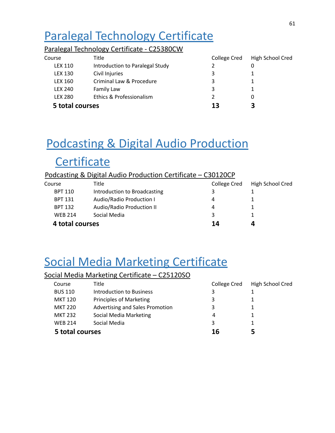## <span id="page-61-0"></span>Paralegal Technology Certificate

#### Paralegal Technology Certificate - C25380CW

| Course          | Title                           | College Cred  | High School Cred |
|-----------------|---------------------------------|---------------|------------------|
| LEX 110         | Introduction to Paralegal Study | $\mathcal{P}$ | 0                |
| <b>LEX 130</b>  | Civil Injuries                  | 3             |                  |
| LEX 160         | Criminal Law & Procedure        | 3             |                  |
| <b>LEX 240</b>  | Family Law                      | 3             |                  |
| <b>LEX 280</b>  | Ethics & Professionalism        |               | $\Omega$         |
| 5 total courses |                                 | 13            | 3                |

# Podcasting & Digital Audio Production

## **Certificate**

#### Podcasting & Digital Audio Production Certificate – C30120CP

| Course          | Title                        | College Cred | High School Cred |
|-----------------|------------------------------|--------------|------------------|
| <b>BPT 110</b>  | Introduction to Broadcasting | 3            |                  |
| <b>BPT 131</b>  | Audio/Radio Production I     | 4            |                  |
| <b>BPT 132</b>  | Audio/Radio Production II    | 4            |                  |
| <b>WFB 214</b>  | Social Media                 | 3            |                  |
| 4 total courses |                              | 14           |                  |

## <span id="page-61-1"></span>Social Media Marketing Certificate

#### Social Media Marketing Certificate – C25120SO

| Course          | Title                           | College Cred | High School Cred |
|-----------------|---------------------------------|--------------|------------------|
| <b>BUS 110</b>  | Introduction to Business        | 3            |                  |
| <b>MKT 120</b>  | Principles of Marketing         | 3            |                  |
| <b>MKT 220</b>  | Advertising and Sales Promotion | 3            |                  |
| <b>MKT 232</b>  | Social Media Marketing          | 4            |                  |
| <b>WFB 214</b>  | Social Media                    | 3            |                  |
| 5 total courses |                                 | 16           |                  |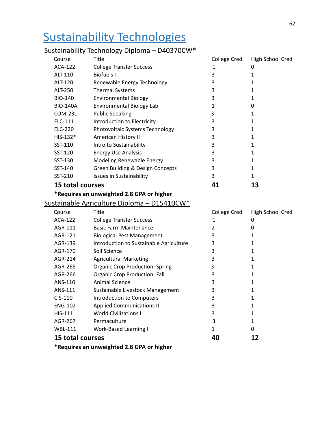## <span id="page-62-0"></span>Sustainability Technologies

#### Sustainability Technology Diploma – D40370CW\*

| Title<br>Course         |                                  | College Cred | High School Cred |  |
|-------------------------|----------------------------------|--------------|------------------|--|
| ACA-122                 | <b>College Transfer Success</b>  |              | 0                |  |
| ALT-110                 | Biofuels I                       | 3            |                  |  |
| ALT-120                 | Renewable Energy Technology      | 3            |                  |  |
| ALT-250                 | <b>Thermal Systems</b>           | 3            |                  |  |
| <b>BIO-140</b>          | <b>Environmental Biology</b>     | 3            |                  |  |
| <b>BIO-140A</b>         | Environmental Biology Lab        |              | O                |  |
| COM-231                 | <b>Public Speaking</b>           | 3            |                  |  |
| ELC-111                 | Introduction to Electricity      | 3            |                  |  |
| ELC-220                 | Photovoltaic Systems Technology  | 3            |                  |  |
| $HIS-132*$              | American History II              | 3            |                  |  |
| SST-110                 | Intro to Sustainability          | 3            |                  |  |
| SST-120                 | <b>Energy Use Analysis</b>       | 3            |                  |  |
| SST-130                 | Modeling Renewable Energy        | 3            |                  |  |
| SST-140                 | Green Building & Design Concepts | 3            |                  |  |
| SST-210                 | <b>Issues in Sustainability</b>  | 3            |                  |  |
| <b>15 total courses</b> |                                  |              |                  |  |

#### **\*Requires an unweighted 2.8 GPA or higher**

#### Sustainable Agriculture Diploma – D15410CW\*

| Course           | Title                                   | College Cred | High School Cred |
|------------------|-----------------------------------------|--------------|------------------|
| ACA-122          | <b>College Transfer Success</b>         |              | 0                |
| AGR-111          | <b>Basic Farm Maintenance</b>           |              | O                |
| AGR-121          | <b>Biological Pest Management</b>       | 3            |                  |
| AGR-139          | Introduction to Sustainable Agriculture | 3            |                  |
| AGR-170          | Soil Science                            | 3            |                  |
| AGR-214          | <b>Agricultural Marketing</b>           | 3            |                  |
| AGR-265          | <b>Organic Crop Production: Spring</b>  | 3            |                  |
| AGR-266          | <b>Organic Crop Production: Fall</b>    | 3            |                  |
| ANS-110          | Animal Science                          | 3            |                  |
| ANS-111          | Sustainable Livestock Management        | 3            |                  |
| $CIS-110$        | Introduction to Computers               | 3            |                  |
| <b>ENG-102</b>   | <b>Applied Communications II</b>        | 3            |                  |
| <b>HIS-111</b>   | <b>World Civilizations I</b>            | 3            |                  |
| AGR-267          | Permaculture                            | 3            |                  |
| WBL-111          | <b>Work-Based Learning I</b>            | 1            | O                |
| 15 total courses |                                         | 40           |                  |
|                  |                                         |              |                  |

**\*Requires an unweighted 2.8 GPA or higher**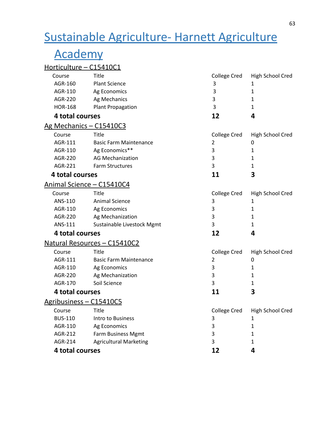## <span id="page-63-0"></span>Sustainable Agriculture- Harnett Agriculture

## Academy

### Horticulture – C15410C1

| Title<br>Course                |                               | College Cred | High School Cred |  |  |
|--------------------------------|-------------------------------|--------------|------------------|--|--|
| AGR-160                        | <b>Plant Science</b>          | 3            | 1                |  |  |
| AGR-110                        | Ag Economics                  | 3            | $\mathbf 1$      |  |  |
| <b>AGR-220</b><br>Ag Mechanics |                               | 3            | $\mathbf{1}$     |  |  |
| <b>HOR-168</b>                 | <b>Plant Propagation</b>      | 3            | 1                |  |  |
| 4 total courses                |                               | 12           | 4                |  |  |
|                                | Ag Mechanics - C15410C3       |              |                  |  |  |
| Course                         | Title                         | College Cred | High School Cred |  |  |
| AGR-111                        | <b>Basic Farm Maintenance</b> | 2            | 0                |  |  |
| AGR-110                        | Ag Economics**                | 3            | $\mathbf 1$      |  |  |
| AGR-220                        | <b>AG Mechanization</b>       | 3            | $\mathbf{1}$     |  |  |
| AGR-221                        | <b>Farm Structures</b>        | 3            | 1                |  |  |
| 4 total courses                |                               | 11           | 3                |  |  |
|                                | Animal Science - C15410C4     |              |                  |  |  |
| Course                         | Title                         | College Cred | High School Cred |  |  |
| ANS-110                        | <b>Animal Science</b>         | 3            | $\mathbf{1}$     |  |  |
| AGR-110                        | Ag Economics                  | 3            | $\mathbf{1}$     |  |  |
| AGR-220                        | Ag Mechanization              | 3            | $\mathbf{1}$     |  |  |
| ANS-111                        | Sustainable Livestock Mgmt    | 3            | $\mathbf{1}$     |  |  |
| 4 total courses                |                               | 12           | 4                |  |  |
|                                | Natural Resources - C15410C2  |              |                  |  |  |
| Course                         | Title                         | College Cred | High School Cred |  |  |
| AGR-111                        | <b>Basic Farm Maintenance</b> | 2            | 0                |  |  |
| AGR-110                        | Ag Economics                  | 3            | $\mathbf{1}$     |  |  |
| <b>AGR-220</b>                 | Ag Mechanization              | 3            | $\mathbf{1}$     |  |  |
| AGR-170                        | Soil Science                  | 3            | 1                |  |  |
| 4 total courses                |                               | 11           | 3                |  |  |
|                                | Agribusiness - C15410C5       |              |                  |  |  |
| Course                         | Title                         | College Cred | High School Cred |  |  |
| <b>BUS-110</b>                 | Intro to Business             | 3            | $\mathbf{1}$     |  |  |
| AGR-110                        | Ag Economics                  | 3            | $\mathbf{1}$     |  |  |
| AGR-212                        | Farm Business Mgmt            | 3            | $\mathbf 1$      |  |  |
| AGR-214                        | <b>Agricultural Marketing</b> | 3            | $\mathbf 1$      |  |  |
| 4 total courses                |                               | 12           | 4                |  |  |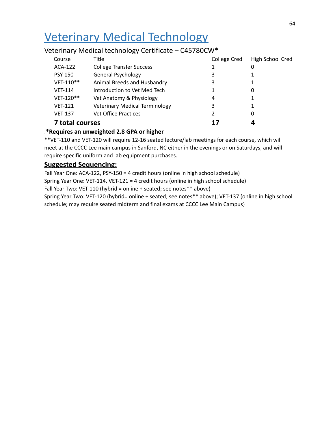## <span id="page-64-0"></span>Veterinary Medical Technology

#### Veterinary Medical technology Certificate – C45780CW\*

| Course                 | Title                                 | <b>College Cred</b> | High School Cred |
|------------------------|---------------------------------------|---------------------|------------------|
| ACA-122                | <b>College Transfer Success</b>       | 1                   | 0                |
| <b>PSY-150</b>         | <b>General Psychology</b>             | 3                   |                  |
| VET-110**              | Animal Breeds and Husbandry           | 3                   |                  |
| <b>VET-114</b>         | Introduction to Vet Med Tech          | 1                   | 0                |
| VET-120**              | Vet Anatomy & Physiology              | 4                   |                  |
| <b>VET-121</b>         | <b>Veterinary Medical Terminology</b> | 3                   |                  |
| <b>VET-137</b>         | <b>Vet Office Practices</b>           |                     | 0                |
| <b>7 total courses</b> |                                       | 17                  |                  |

#### .**\*Requires an unweighted 2.8 GPA or higher**

\*\*VET-110 and VET-120 will require 12-16 seated lecture/lab meetings for each course, which will meet at the CCCC Lee main campus in Sanford, NC either in the evenings or on Saturdays, and will require specific uniform and lab equipment purchases.

#### **Suggested Sequencing:**

Fall Year One: ACA-122, PSY-150 = 4 credit hours (online in high school schedule) Spring Year One: VET-114, VET-121 = 4 credit hours (online in high school schedule) Fall Year Two: VET-110 (hybrid = online + seated; see notes\*\* above) Spring Year Two: VET-120 (hybrid= online + seated; see notes\*\* above); VET-137 (online in high school schedule; may require seated midterm and final exams at CCCC Lee Main Campus)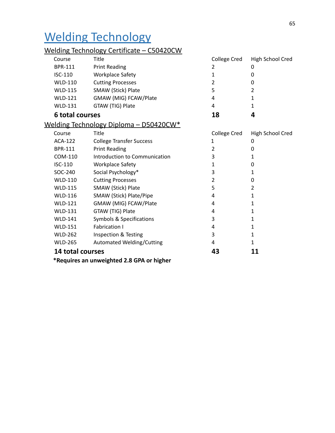## <span id="page-65-0"></span>Welding Technology

### Welding Technology Certificate – C50420CW

| Course                 | Title                                          | College Cred   | High School Cred |
|------------------------|------------------------------------------------|----------------|------------------|
| BPR-111                | <b>Print Reading</b>                           | 2              | 0                |
| ISC-110                | <b>Workplace Safety</b>                        | 1              | 0                |
| <b>WLD-110</b>         | <b>Cutting Processes</b>                       | $\overline{2}$ | 0                |
| <b>WLD-115</b>         | SMAW (Stick) Plate                             | 5              | 2                |
| <b>WLD-121</b>         | GMAW (MIG) FCAW/Plate                          | 4              | 1                |
| <b>WLD-131</b>         | GTAW (TIG) Plate                               | 4              | 1                |
| <b>6 total courses</b> |                                                | 18             | 4                |
|                        | <u> Welding Technology Diploma – D50420CW*</u> |                |                  |
| Course                 | Title                                          | College Cred   | High School Cred |
| <b>ACA-122</b>         | <b>College Transfer Success</b>                | $\mathbf{1}$   | 0                |
| <b>BPR-111</b>         | <b>Print Reading</b>                           | $\overline{2}$ | 0                |
| COM-110                | Introduction to Communication                  | 3              | 1                |
| ISC-110                | <b>Workplace Safety</b>                        | $\mathbf{1}$   | 0                |
| SOC-240                | Social Psychology*                             | 3              | 1                |
| <b>WLD-110</b>         | <b>Cutting Processes</b>                       | 2              | 0                |
| <b>WLD-115</b>         | SMAW (Stick) Plate                             | 5              | $\overline{2}$   |
| <b>WLD-116</b>         | SMAW (Stick) Plate/Pipe                        | 4              | 1                |
| <b>WLD-121</b>         | GMAW (MIG) FCAW/Plate                          | 4              | 1                |
| <b>WLD-131</b>         | GTAW (TIG) Plate                               | 4              | $\mathbf{1}$     |
| <b>WLD-141</b>         | Symbols & Specifications                       | 3              | $\mathbf{1}$     |
| <b>WLD-151</b>         | <b>Fabrication I</b>                           | 4              | 1                |
| <b>WLD-262</b>         | Inspection & Testing                           | 3              | 1                |
| <b>WLD-265</b>         | Automated Welding/Cutting                      | 4              | 1                |
| 14 total courses       |                                                | 43             | 11               |
|                        | *Requires an unweighted 2.8 GPA or higher      |                |                  |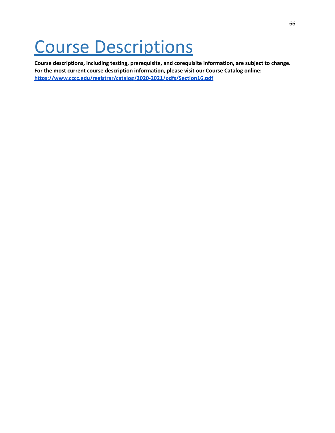# <span id="page-66-0"></span>Course Descriptions

**Course descriptions, including testing, prerequisite, and corequisite information, are subject to change. For the most current course description information, please visit our Course Catalog online: <https://www.cccc.edu/registrar/catalog/2020-2021/pdfs/Section16.pdf>**.